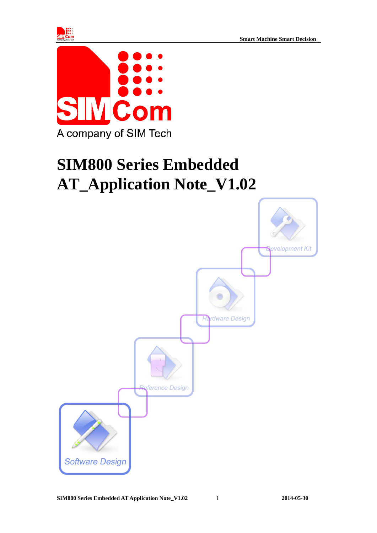



# **SIM800 Series Embedded AT\_Application Note\_V1.02**

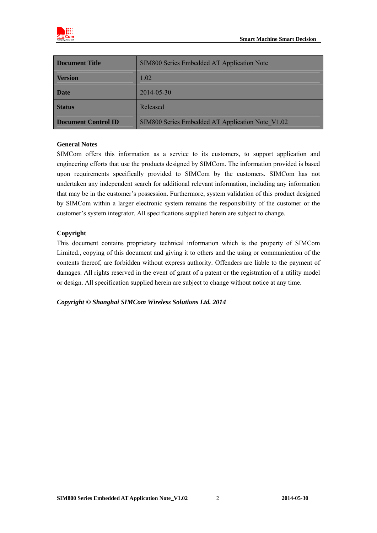

| Document Title             | SIM800 Series Embedded AT Application Note       |
|----------------------------|--------------------------------------------------|
| <b>Version</b>             | 1.02                                             |
| <b>Date</b>                | 2014-05-30                                       |
| <b>Status</b>              | Released                                         |
| <b>Document Control ID</b> | SIM800 Series Embedded AT Application Note V1.02 |

#### **General Notes**

SIMCom offers this information as a service to its customers, to support application and engineering efforts that use the products designed by SIMCom. The information provided is based upon requirements specifically provided to SIMCom by the customers. SIMCom has not undertaken any independent search for additional relevant information, including any information that may be in the customer's possession. Furthermore, system validation of this product designed by SIMCom within a larger electronic system remains the responsibility of the customer or the customer's system integrator. All specifications supplied herein are subject to change.

#### **Copyright**

This document contains proprietary technical information which is the property of SIMCom Limited., copying of this document and giving it to others and the using or communication of the contents thereof, are forbidden without express authority. Offenders are liable to the payment of damages. All rights reserved in the event of grant of a patent or the registration of a utility model or design. All specification supplied herein are subject to change without notice at any time.

*Copyright © Shanghai SIMCom Wireless Solutions Ltd. 2014*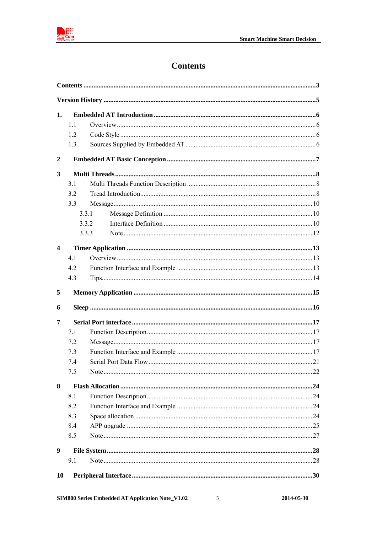

# **Contents**

<span id="page-2-0"></span>

| 1.               |       |  |  |  |  |
|------------------|-------|--|--|--|--|
|                  | 11    |  |  |  |  |
|                  | 1.2   |  |  |  |  |
|                  | 1.3   |  |  |  |  |
| $\boldsymbol{2}$ |       |  |  |  |  |
| 3                |       |  |  |  |  |
|                  | 3.1   |  |  |  |  |
|                  | 3.2   |  |  |  |  |
|                  | 3.3   |  |  |  |  |
|                  | 3.3.1 |  |  |  |  |
|                  | 3.3.2 |  |  |  |  |
|                  | 3.3.3 |  |  |  |  |
| 4                |       |  |  |  |  |
|                  | 4.1   |  |  |  |  |
|                  | 4.2   |  |  |  |  |
|                  | 4.3   |  |  |  |  |
| 5                |       |  |  |  |  |
|                  |       |  |  |  |  |
| 6                |       |  |  |  |  |
| 7                |       |  |  |  |  |
|                  | 7.1   |  |  |  |  |
|                  | 7.2   |  |  |  |  |
|                  | 7.3   |  |  |  |  |
|                  | 7.4   |  |  |  |  |
|                  | 7.5   |  |  |  |  |
| 8                |       |  |  |  |  |
|                  | 8.1   |  |  |  |  |
|                  | 8.2   |  |  |  |  |
|                  | 8.3   |  |  |  |  |
|                  | 8.4   |  |  |  |  |
|                  | 8.5   |  |  |  |  |
| 9                |       |  |  |  |  |
|                  | 9.1   |  |  |  |  |

 $\overline{3}$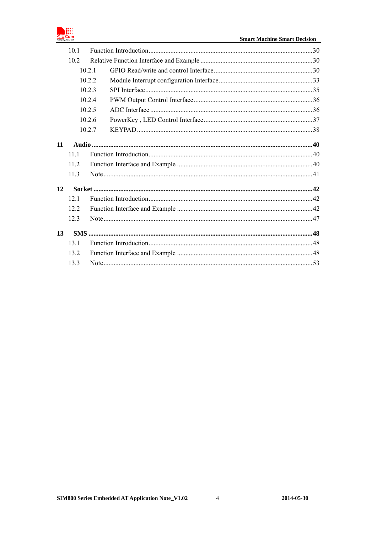

|      | 10.1   |        |  |  |
|------|--------|--------|--|--|
| 10.2 |        |        |  |  |
|      | 10.2.1 |        |  |  |
|      |        | 10.2.2 |  |  |
|      |        | 10.2.3 |  |  |
|      |        | 10.2.4 |  |  |
|      |        | 10.2.5 |  |  |
|      |        | 10.2.6 |  |  |
|      |        | 10.2.7 |  |  |
| 11   |        |        |  |  |
|      | 111    |        |  |  |
|      | 11.2   |        |  |  |
|      | 11.3   |        |  |  |
| 12   |        |        |  |  |
|      | 12.1   |        |  |  |
|      | 122    |        |  |  |
| 12.3 |        |        |  |  |
| 13   |        |        |  |  |
|      | 131    |        |  |  |
|      | 13.2   |        |  |  |
|      | 13.3   |        |  |  |
|      |        |        |  |  |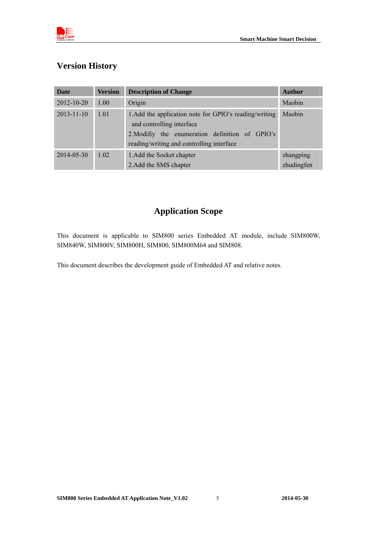

# <span id="page-4-0"></span>**Version History**

| <b>Date</b>      | <b>Version</b> | <b>Description of Change</b>                                                                                                                                                        | <b>Author</b>           |
|------------------|----------------|-------------------------------------------------------------------------------------------------------------------------------------------------------------------------------------|-------------------------|
| 2012-10-20       | 1.00           | Origin                                                                                                                                                                              | Maobin                  |
| $2013 - 11 - 10$ | 1.01           | 1. Add the application note for GPIO's reading/writing<br>and controlling interface<br>2. Modifiy the enumeration definition of GPIO's<br>reading/writing and controlling interface | Maobin                  |
| $2014 - 05 - 30$ | 1.02           | 1. Add the Socket chapter<br>2. Add the SMS chapter                                                                                                                                 | zhangping<br>zhudingfen |

# **Application Scope**

This document is applicable to SIM800 series Embedded AT module, include SIM800W, SIM840W, SIM800V, SIM800H, SIM800, SIM800M64 and SIM808.

This document describes the development guide of Embedded AT and relative notes.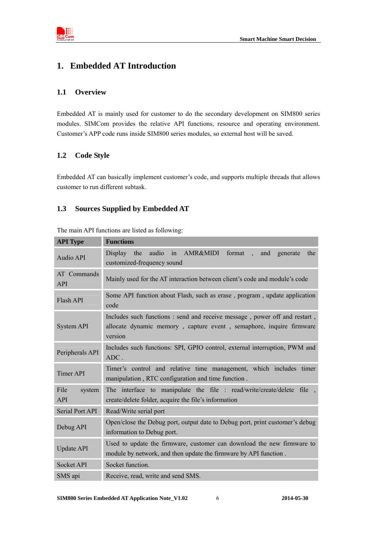

# <span id="page-5-0"></span>**1. Embedded AT Introduction**

# <span id="page-5-1"></span>**1.1 Overview**

Embedded AT is mainly used for customer to do the secondary development on SIM800 series modules. SIMCom provides the relative API functions, resource and operating environment. Customer's APP code runs inside SIM800 series modules, so external host will be saved.

# <span id="page-5-2"></span>**1.2 Code Style**

Embedded AT can basically implement customer's code, and supports multiple threads that allows customer to run different subtask.

# <span id="page-5-3"></span>**1.3 Sources Supplied by Embedded AT**

| <b>API</b> Type              | <b>Functions</b>                                                                                                                                            |  |  |  |
|------------------------------|-------------------------------------------------------------------------------------------------------------------------------------------------------------|--|--|--|
| <b>Audio API</b>             | in AMR&MIDI<br>format.<br>Display<br>the<br>audio<br>the<br>and<br>generate<br>customized-frequency sound                                                   |  |  |  |
| AT Commands<br><b>API</b>    | Mainly used for the AT interaction between client's code and module's code                                                                                  |  |  |  |
| Flash API                    | Some API function about Flash, such as erase, program, update application<br>code                                                                           |  |  |  |
| <b>System API</b>            | Includes such functions: send and receive message, power off and restart,<br>allocate dynamic memory, capture event, semaphore, inquire firmware<br>version |  |  |  |
| Peripherals API              | Includes such functions: SPI, GPIO control, external interruption, PWM and<br>ADC.                                                                          |  |  |  |
| <b>Timer API</b>             | Timer's control and relative time management, which includes timer<br>manipulation, RTC configuration and time function.                                    |  |  |  |
| File<br>system<br><b>API</b> | The interface to manipulate the file : read/write/create/delete file<br>create/delete folder, acquire the file's information                                |  |  |  |
| Serial Port API              | Read/Write serial port                                                                                                                                      |  |  |  |
| Debug API                    | Open/close the Debug port, output date to Debug port, print customer's debug<br>information to Debug port.                                                  |  |  |  |
| <b>Update API</b>            | Used to update the firmware, customer can download the new firmware to<br>module by network, and then update the firmware by API function.                  |  |  |  |
| <b>Socket API</b>            | Socket function.                                                                                                                                            |  |  |  |
| SMS api                      | Receive, read, write and send SMS.                                                                                                                          |  |  |  |

The main API functions are listed as following: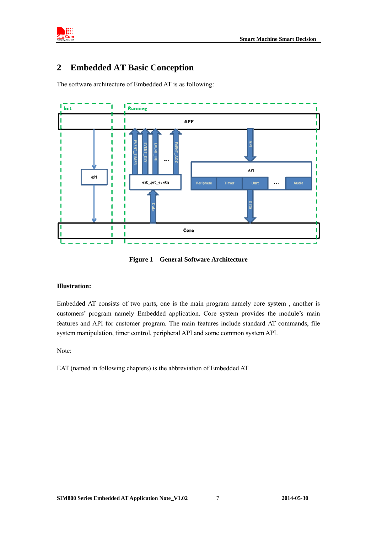

# <span id="page-6-0"></span>**2 Embedded AT Basic Conception**

The software architecture of Embedded AT is as following:



**Figure 1 General Software Architecture** 

#### **Illustration:**

Embedded AT consists of two parts, one is the main program namely core system , another is customers' program namely Embedded application. Core system provides the module's main features and API for customer program. The main features include standard AT commands, file system manipulation, timer control, peripheral API and some common system API.

Note:

EAT (named in following chapters) is the abbreviation of Embedded AT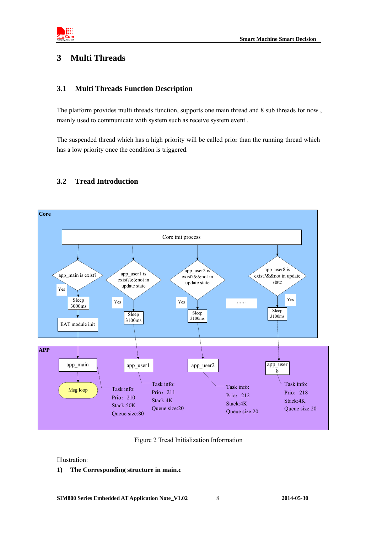

# <span id="page-7-0"></span>**3 Multi Threads**

# <span id="page-7-1"></span>**3.1 Multi Threads Function Description**

The platform provides multi threads function, supports one main thread and 8 sub threads for now , mainly used to communicate with system such as receive system event .

The suspended thread which has a high priority will be called prior than the running thread which has a low priority once the condition is triggered.

<span id="page-7-2"></span>

# **3.2 Tread Introduction**

Figure 2 Tread Initialization Information

Illustration:

# **1) The Corresponding structure in main.c**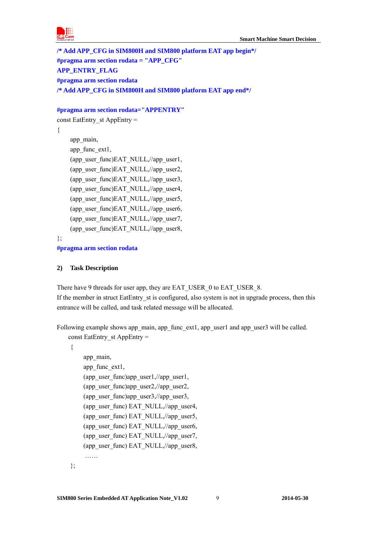

**/\* Add APP\_CFG in SIM800H and SIM800 platform EAT app begin\*/ #pragma arm section rodata = "APP\_CFG" APP\_ENTRY\_FLAG #pragma arm section rodata /\* Add APP\_CFG in SIM800H and SIM800 platform EAT app end\*/** 

#### **#pragma arm section rodata="APPENTRY"**

const EatEntry\_st AppEntry =

{

```
 app_main, 
app_func_ext1,
(app_user_func)EAT_NULL,//app_user1,
(app_user_func)EAT_NULL,//app_user2,
(app_user_func)EAT_NULL,//app_user3,
(app_user_func)EAT_NULL,//app_user4,
(app_user_func)EAT_NULL,//app_user5,
(app_user_func)EAT_NULL,//app_user6,
(app_user_func)EAT_NULL,//app_user7,
(app_user_func)EAT_NULL,//app_user8,
```
};

**#pragma arm section rodata** 

#### **2) Task Description**

There have 9 threads for user app, they are EAT\_USER\_0 to EAT\_USER\_8. If the member in struct EatEntry st is configured, also system is not in upgrade process, then this entrance will be called, and task related message will be allocated.

Following example shows app\_main, app\_func\_ext1, app\_user1 and app\_user3 will be called. const EatEntry\_st AppEntry =

{

```
 app_main, 
app_func_ext1,
(app_user_func)app_user1,//app_user1,
(app_user_func)app_user2,//app_user2,
 (app_user_func)app_user3,//app_user3, 
(app_user_func) EAT_NULL,//app_user4,
(app_user_func) EAT_NULL,//app_user5,
(app_user_func) EAT_NULL,//app_user6,
(app_user_func) EAT_NULL,//app_user7,
(app_user_func) EAT_NULL,//app_user8,
 ……
```
};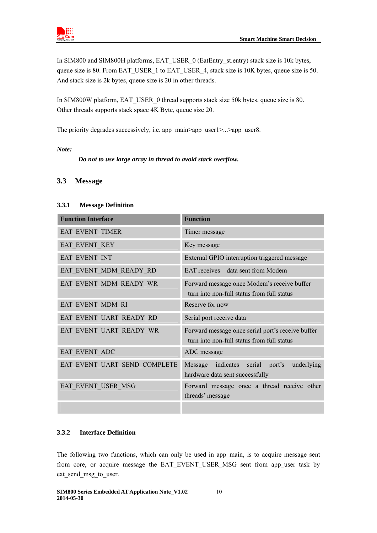

In SIM800 and SIM800H platforms, EAT\_USER\_0 (EatEntry\_st.entry) stack size is 10k bytes, queue size is 80. From EAT\_USER\_1 to EAT\_USER\_4, stack size is 10K bytes, queue size is 50. And stack size is 2k bytes, queue size is 20 in other threads.

In SIM800W platform, EAT\_USER\_0 thread supports stack size 50k bytes, queue size is 80. Other threads supports stack space 4K Byte, queue size 20.

The priority degrades successively, i.e. app\_main>app\_user1>...>app\_user8.

*Note:* 

 *Do not to use large array in thread to avoid stack overflow.* 

# <span id="page-9-0"></span>**3.3 Message**

# <span id="page-9-1"></span>**3.3.1 Message Definition**

| <b>Function Interface</b>    | <b>Function</b>                                                                                 |
|------------------------------|-------------------------------------------------------------------------------------------------|
| EAT_EVENT_TIMER              | Timer message                                                                                   |
| EAT_EVENT_KEY                | Key message                                                                                     |
| EAT EVENT INT                | External GPIO interruption triggered message                                                    |
| EAT_EVENT_MDM_READY_RD       | EAT receives data sent from Modem                                                               |
| EAT EVENT MDM READY WR       | Forward message once Modem's receive buffer<br>turn into non-full status from full status       |
| EAT EVENT MDM RI             | Reserve for now                                                                                 |
| EAT EVENT UART READY RD      | Serial port receive data                                                                        |
| EAT EVENT UART READY WR      | Forward message once serial port's receive buffer<br>turn into non-full status from full status |
| EAT EVENT ADC                | ADC message                                                                                     |
| EAT_EVENT_UART_SEND_COMPLETE | indicates serial port's<br>underlying<br>Message<br>hardware data sent successfully             |
| EAT EVENT USER MSG           | Forward message once a thread receive other<br>threads' message                                 |
|                              |                                                                                                 |

# <span id="page-9-2"></span>**3.3.2 Interface Definition**

The following two functions, which can only be used in app\_main, is to acquire message sent from core, or acquire message the EAT\_EVENT\_USER\_MSG sent from app\_user task by eat send msg to user.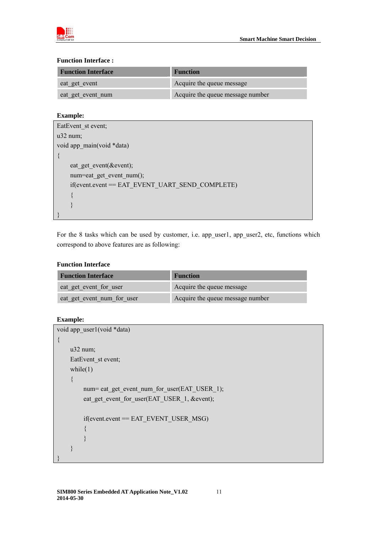

#### **Function Interface :**

| <b>Function Interface</b> | <b>Function</b>                  |
|---------------------------|----------------------------------|
| eat get event             | Acquire the queue message        |
| eat get event num         | Acquire the queue message number |

# **Example:**

| EatEvent st event;                                 |
|----------------------------------------------------|
| $u32$ num;                                         |
| void app main(void *data)                          |
| $\{$                                               |
| eat get event( $&$ event);                         |
| num=eat get event num $($ );                       |
| $if$ (event.event == EAT EVENT UART SEND COMPLETE) |
|                                                    |
|                                                    |
|                                                    |

For the 8 tasks which can be used by customer, i.e. app\_user1, app\_user2, etc, functions which correspond to above features are as following:

#### **Function Interface**

| <b>Function Interface</b>  | <b>Function</b>                  |  |
|----------------------------|----------------------------------|--|
| eat get event for user     | Acquire the queue message        |  |
| eat get event num for user | Acquire the queue message number |  |

# **Example:**

```
void app_user1(void *data) 
{ 
     u32 num; 
    EatEvent_st event;
    while(1) { 
         num= eat_get_event_num_for_user(EAT_USER_1);
         eat_get_event_for_user(EAT_USER_1, &event);
          if(event.event == EAT_EVENT_USER_MSG) 
          { 
          } 
     } 
}
```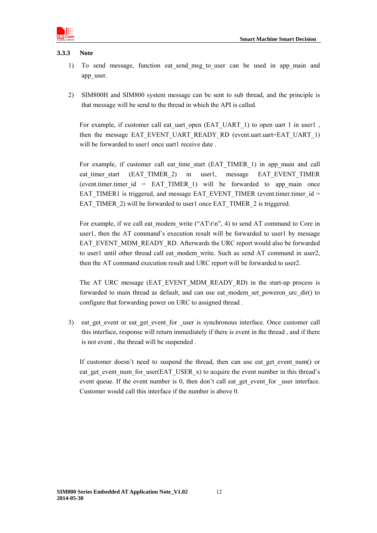

#### <span id="page-11-0"></span>**3.3.3 Note**

- 1) To send message, function eat send msg\_to\_user can be used in app\_main and app\_user.
- 2) SIM800H and SIM800 system message can be sent to sub thread, and the principle is that message will be send to the thread in which the API is called.

For example, if customer call eat uart open (EAT\_UART\_1) to open uart 1 in user1 , then the message EAT\_EVENT\_UART\_READY\_RD (event.uart.uart=EAT\_UART\_1) will be forwarded to user1 once uart1 receive date.

For example, if customer call eat time start (EAT TIMER 1) in app\_main and call eat timer start (EAT\_TIMER\_2) in user1, message EAT\_EVENT\_TIMER (event.timer.timer\_id = EAT\_TIMER\_1) will be forwarded to app\_main once EAT\_TIMER1 is triggered, and message EAT\_EVENT\_TIMER (event.timer.timer\_id = EAT\_TIMER\_2) will be forwarded to user1 once EAT\_TIMER\_2 is triggered.

For example, if we call eat modem write ("AT\r\n", 4) to send AT command to Core in user1, then the AT command's execution result will be forwarded to user1 by message EAT\_EVENT\_MDM\_READY\_RD. Afterwards the URC report would also be forwarded to user1 until other thread call eat modem write. Such as send AT command in user2, then the AT command execution result and URC report will be forwarded to user2.

The AT URC message (EAT\_EVENT\_MDM\_READY\_RD) in the start-up process is forwarded to main thread as default, and can use eat\_modem\_set\_poweron\_urc\_dir() to configure that forwarding power on URC to assigned thread .

3) eat get event or eat get event for user is synchronous interface. Once customer call this interface, response will return immediately if there is event in the thread , and if there is not event , the thread will be suspended .

If customer doesn't need to suspend the thread, then can use eat get event num() or eat get event num for user(EAT\_USER\_x) to acquire the event number in this thread's event queue. If the event number is 0, then don't call eat get event for user interface. Customer would call this interface if the number is above 0.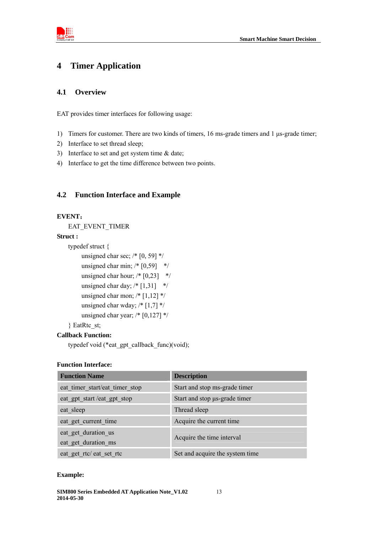

# <span id="page-12-0"></span>**4 Timer Application**

#### <span id="page-12-1"></span>**4.1 Overview**

EAT provides timer interfaces for following usage:

- 1) Timers for customer. There are two kinds of timers, 16 ms-grade timers and 1 μs-grade timer;
- 2) Interface to set thread sleep;
- 3) Interface to set and get system time & date;
- 4) Interface to get the time difference between two points.

# <span id="page-12-2"></span>**4.2 Function Interface and Example**

#### **EVENT**:

EAT\_EVENT\_TIMER

#### **Struct :**

```
typedef struct { 
      unsigned char sec; /* [0, 59] */ 
     unsigned char min; /* [0,59] */
     unsigned char hour; /* [0,23] */
     unsigned char day; /* [1,31] */
     unsigned char mon; /* [1,12] */
     unsigned char wday; /* [1,7] */
     unsigned char year; /* [0,127] */
} EatRtc_st;
```
#### **Callback Function:**

typedef void (\*eat\_gpt\_callback\_func)(void);

#### **Function Interface:**

| <b>Function Name</b>                       | <b>Description</b>              |
|--------------------------------------------|---------------------------------|
| eat timer start/eat timer stop             | Start and stop ms-grade timer   |
| eat gpt start/eat gpt stop                 | Start and stop µs-grade timer   |
| eat sleep                                  | Thread sleep                    |
| eat get current time                       | Acquire the current time        |
| eat get duration us<br>eat_get_duration_ms | Acquire the time interval       |
| eat get rtc/ eat set rtc                   | Set and acquire the system time |

#### **Example:**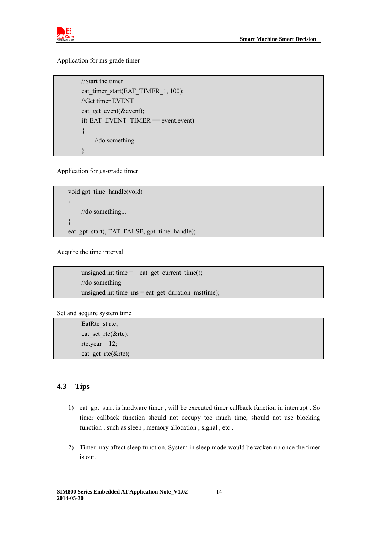

Application for ms-grade timer

 //Start the timer eat\_timer\_start(EAT\_TIMER\_1, 100); //Get timer EVENT eat get event(&event); if( EAT\_EVENT\_TIMER == event.event) { //do something  $\left\{\begin{array}{c} \end{array}\right\}$ 

Application for μs-grade timer

void gpt\_time\_handle(void) { //do something... } eat\_gpt\_start(, EAT\_FALSE, gpt\_time\_handle);

Acquire the time interval

unsigned int time = eat\_get\_current\_time(); //do something unsigned int time  $ms = eat$  get duration  $ms(time)$ ;

Set and acquire system time

EatRtc\_st rtc; eat\_set\_rtc(&rtc); rtc.year =  $12$ ; eat\_get\_rtc(&rtc);

# <span id="page-13-0"></span>**4.3 Tips**

- 1) eat gpt start is hardware timer, will be executed timer callback function in interrupt . So timer callback function should not occupy too much time, should not use blocking function , such as sleep , memory allocation , signal , etc .
- 2) Timer may affect sleep function. System in sleep mode would be woken up once the timer is out.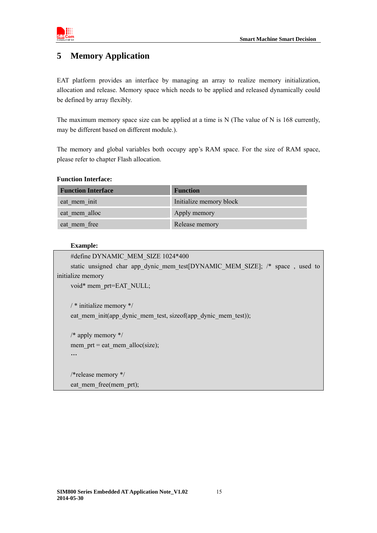



# <span id="page-14-0"></span>**5 Memory Application**

EAT platform provides an interface by managing an array to realize memory initialization, allocation and release. Memory space which needs to be applied and released dynamically could be defined by array flexibly.

The maximum memory space size can be applied at a time is N (The value of N is 168 currently, may be different based on different module.).

The memory and global variables both occupy app's RAM space. For the size of RAM space, please refer to chapter Flash allocation.

#### **Function Interface:**

| <b>Function Interface</b> | <b>Function</b>         |
|---------------------------|-------------------------|
| eat mem init              | Initialize memory block |
| eat mem alloc             | Apply memory            |
| eat mem free              | Release memory          |

#### **Example:**

```
#define DYNAMIC_MEM_SIZE 1024*400
    static unsigned char app_dynic_mem_test[DYNAMIC_MEM_SIZE]; /* space , used to
initialize memory 
    void* mem_prt=EAT_NULL;
    / * initialize memory */
    eat mem init(app dynic mem test, sizeof(app dynic mem test));
    /* apply memory */ 
    mem_prt = eat_mem_alloc(size);
    …
    /*release memory */ 
    eat mem free(mem prt);
```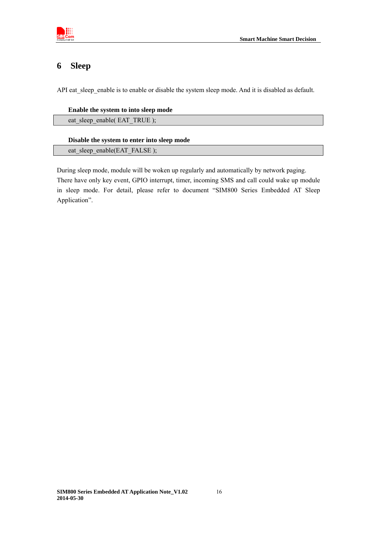

# <span id="page-15-0"></span>**6 Sleep**

API eat\_sleep\_enable is to enable or disable the system sleep mode. And it is disabled as default.

#### **Enable the system to into sleep mode**

eat\_sleep\_enable( EAT\_TRUE );

#### **Disable the system to enter into sleep mode**

eat sleep enable(EAT FALSE);

During sleep mode, module will be woken up regularly and automatically by network paging. There have only key event, GPIO interrupt, timer, incoming SMS and call could wake up module in sleep mode. For detail, please refer to document "SIM800 Series Embedded AT Sleep Application".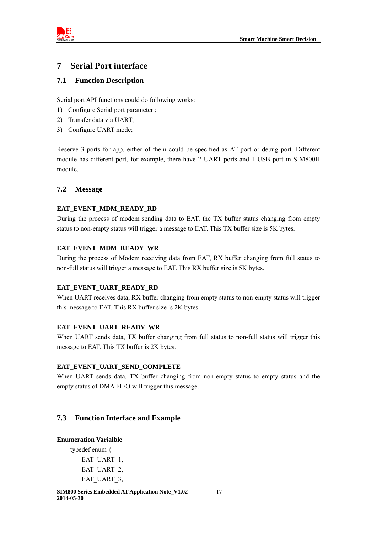

# <span id="page-16-0"></span>**7 Serial Port interface**

# <span id="page-16-1"></span>**7.1 Function Description**

Serial port API functions could do following works:

- 1) Configure Serial port parameter ;
- 2) Transfer data via UART;
- 3) Configure UART mode;

Reserve 3 ports for app, either of them could be specified as AT port or debug port. Different module has different port, for example, there have 2 UART ports and 1 USB port in SIM800H module.

# <span id="page-16-2"></span>**7.2 Message**

# **EAT\_EVENT\_MDM\_READY\_RD**

During the process of modem sending data to EAT, the TX buffer status changing from empty status to non-empty status will trigger a message to EAT. This TX buffer size is 5K bytes.

#### **EAT\_EVENT\_MDM\_READY\_WR**

During the process of Modem receiving data from EAT, RX buffer changing from full status to non-full status will trigger a message to EAT. This RX buffer size is 5K bytes.

# **EAT\_EVENT\_UART\_READY\_RD**

When UART receives data, RX buffer changing from empty status to non-empty status will trigger this message to EAT. This RX buffer size is 2K bytes.

# **EAT\_EVENT\_UART\_READY\_WR**

When UART sends data, TX buffer changing from full status to non-full status will trigger this message to EAT. This TX buffer is 2K bytes.

# **EAT\_EVENT\_UART\_SEND\_COMPLETE**

When UART sends data, TX buffer changing from non-empty status to empty status and the empty status of DMA FIFO will trigger this message.

# <span id="page-16-3"></span>**7.3 Function Interface and Example**

#### **Enumeration Varialble**

typedef enum { EAT\_UART\_1, EAT\_UART\_2, EAT\_UART\_3,

**SIM800 Series Embedded AT Application Note\_V1.02** 17 **2014-05-30**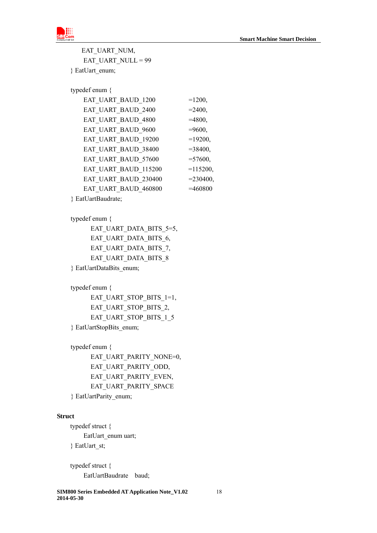

EAT\_UART\_NUM, EAT\_UART\_NULL = 99 } EatUart\_enum;

typedef enum {

| EAT UART_BAUD_1200   | $=1200,$    |
|----------------------|-------------|
| EAT UART BAUD 2400   | $= 2400,$   |
| EAT UART BAUD 4800   | $=4800,$    |
| EAT_UART_BAUD_9600   | $=9600,$    |
| EAT UART_BAUD_19200  | $=19200,$   |
| EAT UART BAUD 38400  | $= 38400,$  |
| EAT UART BAUD 57600  | $= 57600,$  |
| EAT_UART_BAUD_115200 | $=115200,$  |
| EAT UART_BAUD_230400 | $= 230400,$ |
| EAT_UART_BAUD_460800 | $=460800$   |
|                      |             |

} EatUartBaudrate;

#### typedef enum {

EAT\_UART\_DATA\_BITS\_5=5, EAT\_UART\_DATA\_BITS\_6, EAT\_UART\_DATA\_BITS\_7, EAT\_UART\_DATA\_BITS\_8 } EatUartDataBits\_enum;

typedef enum {

EAT\_UART\_STOP\_BITS\_1=1, EAT\_UART\_STOP\_BITS\_2, EAT\_UART\_STOP\_BITS\_1\_5 } EatUartStopBits\_enum;

typedef enum {

 EAT\_UART\_PARITY\_NONE=0, EAT\_UART\_PARITY\_ODD, EAT\_UART\_PARITY\_EVEN, EAT\_UART\_PARITY\_SPACE

} EatUartParity\_enum;

# **Struct**

 typedef struct { EatUart\_enum uart; } EatUart\_st;

 typedef struct { EatUartBaudrate baud;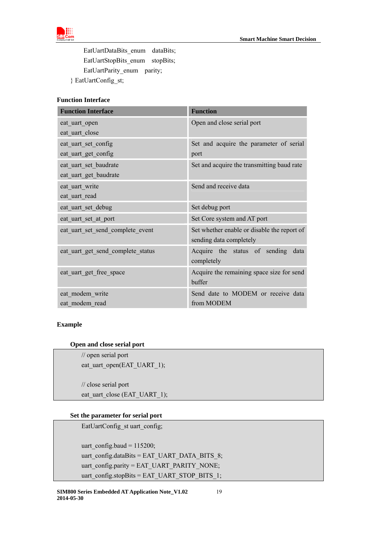

EatUartDataBits enum dataBits; EatUartStopBits\_enum stopBits; EatUartParity\_enum parity;

} EatUartConfig\_st;

# **Function Interface**

| <b>Function Interface</b>         | <b>Function</b>                             |  |
|-----------------------------------|---------------------------------------------|--|
| eat_uart_open                     | Open and close serial port                  |  |
| eat uart close                    |                                             |  |
| eat uart set config               | Set and acquire the parameter of serial     |  |
| eat_uart_get_config               | port                                        |  |
| eat uart set baudrate             | Set and acquire the transmitting baud rate  |  |
| eat uart get baudrate             |                                             |  |
| eat_uart_write                    | Send and receive data                       |  |
| eat uart read                     |                                             |  |
| eat_uart_set_debug                | Set debug port                              |  |
| eat uart set at port              | Set Core system and AT port                 |  |
| eat uart set send complete event  | Set whether enable or disable the report of |  |
|                                   | sending data completely                     |  |
| eat_uart_get_send_complete_status | Acquire the status of sending<br>data       |  |
|                                   | completely                                  |  |
| eat uart get free space           | Acquire the remaining space size for send   |  |
|                                   | buffer                                      |  |
| eat modem write                   | Send date to MODEM or receive data          |  |
| eat modem read                    | from MODEM                                  |  |

#### **Example**

#### **Open and close serial port**

 // open serial port eat\_uart\_open(EAT\_UART\_1);

 // close serial port eat\_uart\_close (EAT\_UART\_1);

#### **Set the parameter for serial port**

EatUartConfig\_st uart\_config;

 uart\_config.baud = 115200; uart\_config.dataBits = EAT\_UART\_DATA\_BITS\_8; uart\_config.parity = EAT\_UART\_PARITY\_NONE; uart\_config.stopBits = EAT\_UART\_STOP\_BITS\_1;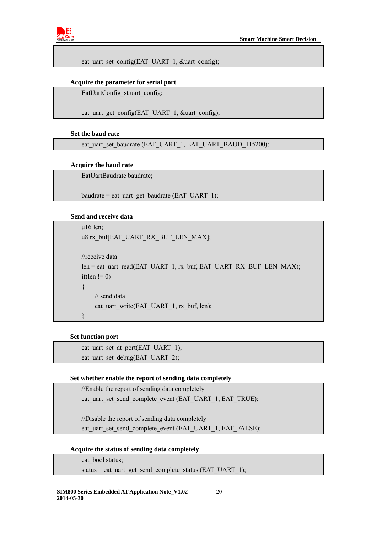

eat uart set config(EAT\_UART\_1,  $&$ uart config);

#### **Acquire the parameter for serial port**

EatUartConfig\_st uart\_config;

eat uart get config(EAT\_UART\_1, &uart\_config);

#### **Set the baud rate**

eat\_uart\_set\_baudrate (EAT\_UART\_1, EAT\_UART\_BAUD\_115200);

#### **Acquire the baud rate**

EatUartBaudrate baudrate;

baudrate = eat\_uart\_get\_baudrate (EAT\_UART\_1);

#### **Send and receive data**

```
 u16 len; 
u8 rx_buf[EAT_UART_RX_BUF_LEN_MAX];
 //receive data 
len = eat uart read(EAT_UART_1, rx_buf, EAT_UART_RX_BUF_LEN_MAX);
if(len != 0)
 { 
     // send data 
    eat_uart_write(EAT_UART_1, rx_buf, len);
 }
```
#### **Set function port**

eat\_uart\_set\_at\_port(EAT\_UART\_1); eat uart set debug(EAT\_UART\_2);

#### **Set whether enable the report of sending data completely**

//Enable the report of sending data completely

eat uart set send complete event (EAT\_UART\_1, EAT\_TRUE);

//Disable the report of sending data completely

eat uart set send\_complete\_event (EAT\_UART\_1, EAT\_FALSE);

 **Acquire the status of sending data completely** 

eat\_bool status;

```
status = eat_uart_get_send_complete_status (EAT_UART_1);
```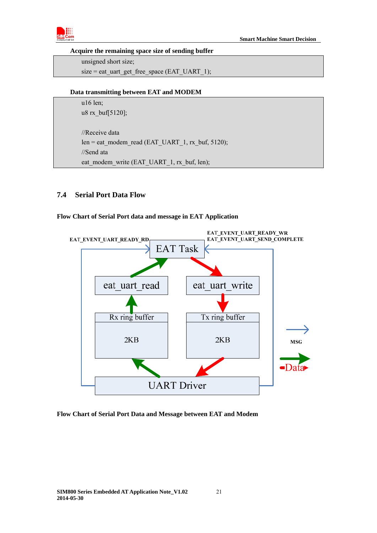

#### **Acquire the remaining space size of sending buffer**

 unsigned short size; size = eat\_uart\_get\_free\_space (EAT\_UART\_1);

#### **Data transmitting between EAT and MODEM**

 u16 len; u8 rx\_buf[5120];

 //Receive data len = eat\_modem\_read (EAT\_UART\_1, rx\_buf, 5120); //Send ata eat\_modem\_write (EAT\_UART\_1, rx\_buf, len);

# <span id="page-20-0"></span>**7.4 Serial Port Data Flow**

#### **Flow Chart of Serial Port data and message in EAT Application**



#### **Flow Chart of Serial Port Data and Message between EAT and Modem**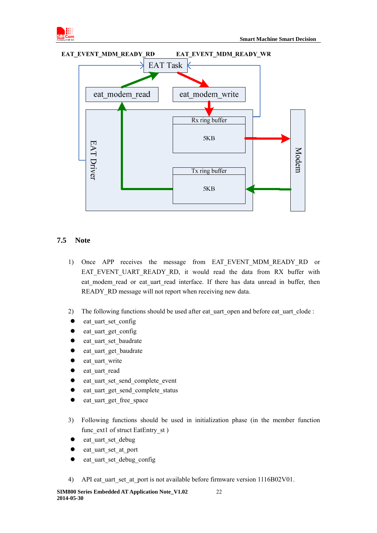





# <span id="page-21-0"></span>**7.5 Note**

- 1) Once APP receives the message from EAT EVENT MDM READY RD or EAT\_EVENT\_UART\_READY\_RD, it would read the data from RX buffer with eat modem read or eat uart read interface. If there has data unread in buffer, then READY RD message will not report when receiving new data.
- 2) The following functions should be used after eat uart open and before eat uart clode :
- eat\_uart\_set\_config
- eat uart get config
- eat uart set baudrate
- eat uart get baudrate
- eat\_uart\_write
- eat uart read
- eat uart set send complete event
- eat\_uart\_get\_send\_complete\_status
- eat uart get free space
- 3) Following functions should be used in initialization phase (in the member function func\_ext1 of struct EatEntry\_st )
- eat uart set debug
- eat\_uart\_set\_at\_port
- eat uart set debug config
- 4) API eat uart set at port is not available before firmware version 1116B02V01.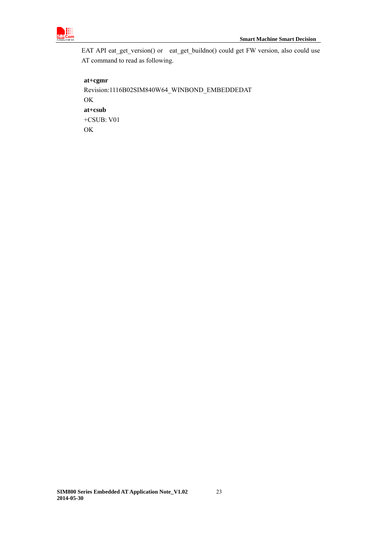

EAT API eat\_get\_version() or eat\_get\_buildno() could get FW version, also could use AT command to read as following.

# **at+cgmr**

Revision:1116B02SIM840W64\_WINBOND\_EMBEDDEDAT OK **at+csub**  +CSUB: V01 OK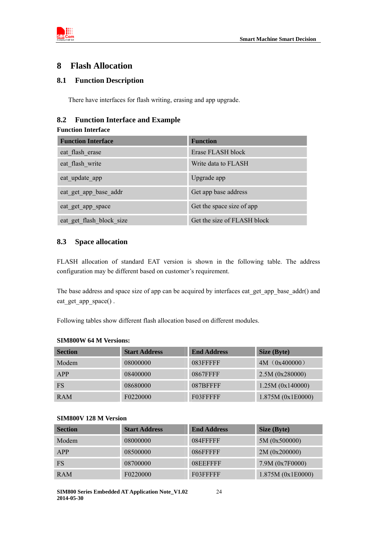

# <span id="page-23-0"></span>**8 Flash Allocation**

# <span id="page-23-1"></span>**8.1 Function Description**

There have interfaces for flash writing, erasing and app upgrade.

# <span id="page-23-2"></span>**8.2 Function Interface and Example**

#### **Function Interface**

| <b>Function Interface</b> | <b>Function</b>             |
|---------------------------|-----------------------------|
| eat flash erase           | Erase FLASH block           |
| eat flash write           | Write data to FLASH         |
| eat update app            | Upgrade app                 |
| eat get app base addr     | Get app base address        |
| eat get app space         | Get the space size of app   |
| eat get flash block size  | Get the size of FLASH block |

#### <span id="page-23-3"></span>**8.3 Space allocation**

FLASH allocation of standard EAT version is shown in the following table. The address configuration may be different based on customer's requirement.

The base address and space size of app can be acquired by interfaces eat\_get\_app\_base\_addr() and eat get app space().

Following tables show different flash allocation based on different modules.

#### **SIM800W 64 M Versions:**

| <b>Section</b> | <b>Start Address</b> | <b>End Address</b> | Size (Byte)       |
|----------------|----------------------|--------------------|-------------------|
| Modem          | 08000000             | 083FFFFFF          | 4M (0x400000)     |
| APP            | 08400000             | <b>0867FFFF</b>    | 2.5M (0x280000)   |
| <b>FS</b>      | 08680000             | 087BFFFF           | 1.25M (0x140000)  |
| <b>RAM</b>     | F0220000             | F03FFFFF           | 1.875M (0x1E0000) |

#### **SIM800V 128 M Version**

| <b>Section</b> | <b>Start Address</b> | <b>End Address</b> | Size (Byte)       |
|----------------|----------------------|--------------------|-------------------|
| Modem          | 08000000             | 084FFFFF           | 5M (0x500000)     |
| APP            | 08500000             | 086FFFFF           | 2M (0x200000)     |
| <b>FS</b>      | 08700000             | 08EEFFFF           | 7.9M (0x7F0000)   |
| <b>RAM</b>     | F0220000             | F03FFFFF           | 1.875M (0x1E0000) |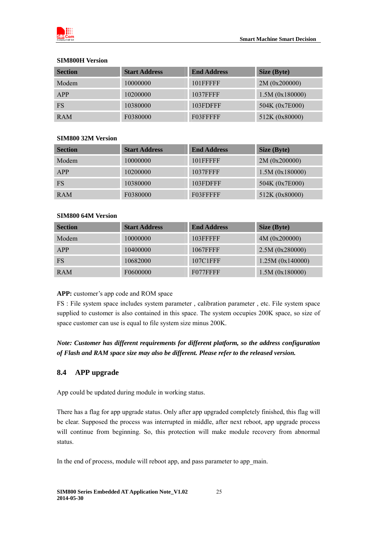

#### **SIM800H Version**

| <b>Section</b> | <b>Start Address</b> | <b>End Address</b> | Size (Byte)    |
|----------------|----------------------|--------------------|----------------|
| Modem          | 10000000             | 101FFFFF           | 2M (0x200000)  |
| APP            | 10200000             | 1037FFFF           | 1.5M(0x180000) |
| <b>FS</b>      | 10380000             | 103FDFFF           | 504K (0x7E000) |
| <b>RAM</b>     | F0380000             | F03FFFFF           | 512K (0x80000) |

#### **SIM800 32M Version**

| <b>Section</b> | <b>Start Address</b> | <b>End Address</b> | Size (Byte)    |
|----------------|----------------------|--------------------|----------------|
| Modem          | 10000000             | 101FFFFF           | 2M (0x200000)  |
| APP            | 10200000             | 1037FFFF           | 1.5M(0x180000) |
| <b>FS</b>      | 10380000             | 103FDFFF           | 504K (0x7E000) |
| <b>RAM</b>     | F0380000             | F03FFFFF           | 512K (0x80000) |

# **SIM800 64M Version**

| <b>Section</b> | <b>Start Address</b> | <b>End Address</b> | Size (Byte)      |
|----------------|----------------------|--------------------|------------------|
| Modem          | 10000000             | 103FFFFF           | 4M (0x200000)    |
| APP            | 10400000             | 1067FFFF           | 2.5M (0x280000)  |
| <b>FS</b>      | 10682000             | 107C1FFF           | 1.25M (0x140000) |
| <b>RAM</b>     | F0600000             | F077FFFF           | 1.5M(0x180000)   |

# **APP:** customer's app code and ROM space

FS : File system space includes system parameter , calibration parameter , etc. File system space supplied to customer is also contained in this space. The system occupies 200K space, so size of space customer can use is equal to file system size minus 200K.

# *Note: Customer has different requirements for different platform, so the address configuration of Flash and RAM space size may also be different. Please refer to the released version.*

# <span id="page-24-0"></span>**8.4 APP upgrade**

App could be updated during module in working status.

There has a flag for app upgrade status. Only after app upgraded completely finished, this flag will be clear. Supposed the process was interrupted in middle, after next reboot, app upgrade process will continue from beginning. So, this protection will make module recovery from abnormal status.

In the end of process, module will reboot app, and pass parameter to app\_main.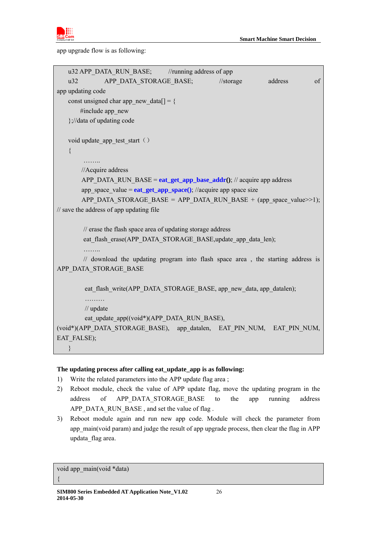

app upgrade flow is as following:

|                                                                        |                                            | u32 APP DATA RUN BASE; //running address of app           |                                                                                                                                            |         |    |
|------------------------------------------------------------------------|--------------------------------------------|-----------------------------------------------------------|--------------------------------------------------------------------------------------------------------------------------------------------|---------|----|
| u32                                                                    | APP DATA STORAGE BASE;                     |                                                           | // storage                                                                                                                                 | address | of |
| app updating code                                                      |                                            |                                                           |                                                                                                                                            |         |    |
|                                                                        | const unsigned char app new data $[$ ] = { |                                                           |                                                                                                                                            |         |    |
| #include app new                                                       |                                            |                                                           |                                                                                                                                            |         |    |
| };//data of updating code                                              |                                            |                                                           |                                                                                                                                            |         |    |
|                                                                        |                                            |                                                           |                                                                                                                                            |         |    |
| void update app test start ()                                          |                                            |                                                           |                                                                                                                                            |         |    |
| $\{$                                                                   |                                            |                                                           |                                                                                                                                            |         |    |
|                                                                        |                                            |                                                           |                                                                                                                                            |         |    |
| //Acquire address                                                      |                                            |                                                           |                                                                                                                                            |         |    |
|                                                                        |                                            |                                                           | APP DATA RUN BASE = $eat\_get\_app\_base\_addr()$ ; // acquire app address                                                                 |         |    |
|                                                                        |                                            |                                                           | app space value = $eat\_get\_app\_space()$ ; //acquire app space size<br>APP_DATA_STORAGE_BASE = APP_DATA_RUN_BASE + (app_space_value>>1); |         |    |
| // save the address of app updating file                               |                                            |                                                           |                                                                                                                                            |         |    |
|                                                                        |                                            |                                                           |                                                                                                                                            |         |    |
|                                                                        |                                            | // erase the flash space area of updating storage address |                                                                                                                                            |         |    |
|                                                                        |                                            |                                                           | eat flash erase(APP DATA STORAGE BASE, update app data len);                                                                               |         |    |
|                                                                        |                                            |                                                           |                                                                                                                                            |         |    |
|                                                                        |                                            |                                                           | // download the updating program into flash space area, the starting address is                                                            |         |    |
| APP DATA STORAGE BASE                                                  |                                            |                                                           |                                                                                                                                            |         |    |
|                                                                        |                                            |                                                           |                                                                                                                                            |         |    |
|                                                                        |                                            |                                                           | eat flash write (APP DATA STORAGE BASE, app new data, app datalen);                                                                        |         |    |
| .                                                                      |                                            |                                                           |                                                                                                                                            |         |    |
| $\frac{1}{2}$ update                                                   |                                            |                                                           |                                                                                                                                            |         |    |
|                                                                        |                                            | eat update app((void*)(APP_DATA_RUN_BASE),                |                                                                                                                                            |         |    |
| (void*)(APP DATA STORAGE BASE), app datalen, EAT PIN NUM, EAT PIN NUM, |                                            |                                                           |                                                                                                                                            |         |    |
| EAT FALSE);                                                            |                                            |                                                           |                                                                                                                                            |         |    |
|                                                                        |                                            |                                                           |                                                                                                                                            |         |    |
|                                                                        |                                            |                                                           |                                                                                                                                            |         |    |

# **The updating process after calling eat\_update\_app is as following:**

- 1) Write the related parameters into the APP update flag area ;
- 2) Reboot module, check the value of APP update flag, move the updating program in the address of APP\_DATA\_STORAGE\_BASE to the app running address APP\_DATA\_RUN\_BASE, and set the value of flag.
- 3) Reboot module again and run new app code. Module will check the parameter from app\_main(void param) and judge the result of app upgrade process, then clear the flag in APP updata\_flag area.

void app\_main(void \*data)

{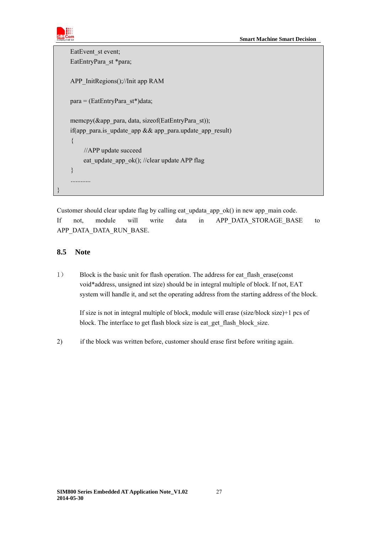```
EatEvent st event;
    EatEntryPara_st *para;
     APP_InitRegions();//Init app RAM 
     para = (EatEntryPara_st*)data; 
     memcpy(&app_para, data, sizeof(EatEntryPara_st)); 
    if(app_para.is_update_app && app_para.update_app_result)
     { 
          //APP update succeed 
         eat update app ok(); //clear update APP flag
     } 
     ............ 
}
```
Customer should clear update flag by calling eat updata app\_ok() in new app\_main code. If not, module will write data in APP\_DATA\_STORAGE\_BASE to APP\_DATA\_DATA\_RUN\_BASE.

#### <span id="page-26-0"></span>**8.5 Note**

1) Block is the basic unit for flash operation. The address for eat flash erase(const void\*address, unsigned int size) should be in integral multiple of block. If not, EAT system will handle it, and set the operating address from the starting address of the block.

If size is not in integral multiple of block, module will erase (size/block size)+1 pcs of block. The interface to get flash block size is eat\_get\_flash\_block\_size.

2) if the block was written before, customer should erase first before writing again.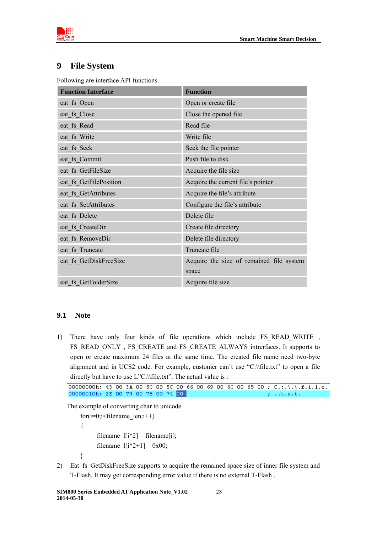

# <span id="page-27-0"></span>**9 File System**

Following are interface API functions.

| <b>Function Interface</b> | <b>Function</b>                          |  |
|---------------------------|------------------------------------------|--|
| eat_fs_Open               | Open or create file                      |  |
| eat fs Close              | Close the opened file                    |  |
| eat_fs_Read               | Read file                                |  |
| eat_fs_Write              | Write file                               |  |
| eat fs Seek               | Seek the file pointer                    |  |
| eat fs Commit             | Push file to disk                        |  |
| eat fs GetFileSize        | Acquire the file size                    |  |
| eat fs GetFilePosition    | Acquire the current file's pointer       |  |
| eat fs GetAttributes      | Acquire the file's attribute             |  |
| eat fs SetAttributes      | Configure the file's attribute           |  |
| eat fs Delete             | Delete file                              |  |
| eat fs CreateDir          | Create file directory                    |  |
| eat fs RemoveDir          | Delete file directory                    |  |
| eat fs Truncate           | Truncate file                            |  |
| eat_fs_GetDiskFreeSize    | Acquire the size of remained file system |  |
|                           | space                                    |  |
| eat fs GetFolderSize      | Acquire file size                        |  |

# <span id="page-27-1"></span>**9.1 Note**

1) There have only four kinds of file operations which include FS\_READ\_WRITE , FS\_READ\_ONLY, FS\_CREATE\_and FS\_CREATE\_ALWAYS intrerfaces. It supports to open or create maximum 24 files at the same time. The created file name need two-byte alignment and in UCS2 code. For example, customer can't use "C:\\file.txt" to open a file directly but have to use L"C:\\file.txt". The actual value is :

The example of converting char to unicode

for $(i=0; i \leq f$ ilename len; $i++)$  { filename\_ $[i*2]$  = filename[i]; filename  $1[i*2+1] = 0x00;$ }

2) Eat fs GetDiskFreeSize supports to acquire the remained space size of inner file system and T-Flash. It may get corresponding error value if there is no external T-Flash .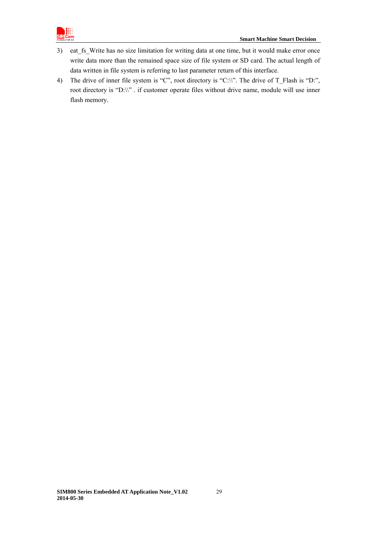

- 3) eat fs Write has no size limitation for writing data at one time, but it would make error once write data more than the remained space size of file system or SD card. The actual length of data written in file system is referring to last parameter return of this interface.
- 4) The drive of inner file system is "C", root directory is "C:\\". The drive of T\_Flash is "D:", root directory is "D:\\" . if customer operate files without drive name, module will use inner flash memory.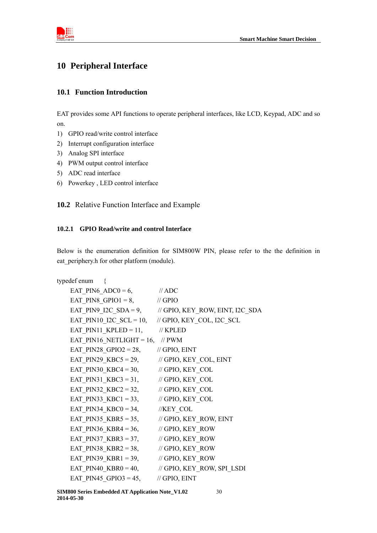

# <span id="page-29-0"></span>**10 Peripheral Interface**

# <span id="page-29-1"></span>**10.1 Function Introduction**

EAT provides some API functions to operate peripheral interfaces, like LCD, Keypad, ADC and so on.

- 1) GPIO read/write control interface
- 2) Interrupt configuration interface
- 3) Analog SPI interface
- 4) PWM output control interface
- 5) ADC read interface
- 6) Powerkey , LED control interface

<span id="page-29-2"></span>**10.2** Relative Function Interface and Example

#### <span id="page-29-3"></span>**10.2.1 GPIO Read/write and control Interface**

Below is the enumeration definition for SIM800W PIN, please refer to the the definition in eat\_periphery.h for other platform (module).

```
typedef enum { 
    EAT PIN6 ADC0 = 6, // ADCEAT_PIN8_GPIO1 = 8, \frac{\text{N}}{\text{GPIO}}EAT PIN9_I2C_SDA = 9, \frac{1}{1} // GPIO, KEY_ROW, EINT, I2C_SDA
    EAT_PIN10_I2C_SCL = 10, // GPIO, KEY_COL, I2C_SCL
    EAT PIN11 KPLED = 11, \frac{1}{\sqrt{2}} KPLED
    EAT PIN16 NETLIGHT = 16, // PWM
    EAT PIN28 GPIO2 = 28, // GPIO, EINT
    EAT PIN29 KBC5 = 29, \frac{1}{100} GPIO, KEY COL, EINT
    EAT PIN30 KBC4 = 30, // GPIO, KEY COL
    EAT PIN31 KBC3 = 31, // GPIO, KEY COL
    EAT_PIN32_KBC2 = 32, \frac{1}{10} GPIO, KEY_COL
    EAT PIN33 KBC1 = 33, // GPIO, KEY COL
    EAT PIN34 KBCO = 34, //KEY COL
    EAT PIN35 KBR5 = 35, \frac{1}{100} GPIO, KEY ROW, EINT
    EAT_PIN36_KBR4 = 36, \frac{1}{10} GPIO, KEY_ROW
    EAT_PIN37_KBR3 = 37, \angle // GPIO, KEY_ROW
    EAT PIN38 KBR2 = 38, // GPIO, KEY_ROW
    EAT_PIN39_KBR1 = 39, \mathcal{U} GPIO, KEY_ROW
    EAT PIN40 KBR0 = 40, // GPIO, KEY_ROW, SPI_LSDI
    EAT PIN45 GPIO3 = 45, // GPIO, EINT
```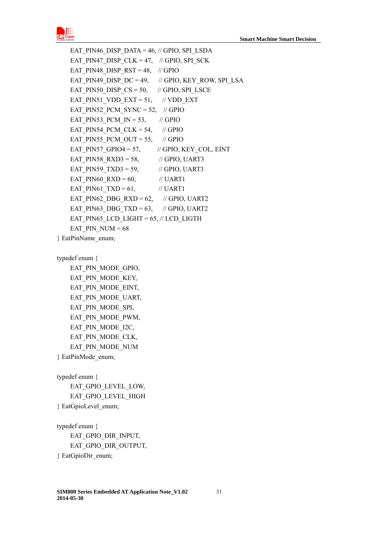

EAT PIN46 DISP\_DATA =  $46$ , // GPIO, SPI\_LSDA EAT PIN47 DISP CLK = 47,  $\#$  GPIO, SPI\_SCK EAT\_PIN48\_DISP\_RST =  $48$ , // GPIO EAT\_PIN49\_DISP\_DC = 49, // GPIO, KEY\_ROW, SPI\_LSA EAT\_PIN50\_DISP\_CS = 50,  $\frac{\pi}{100}$  GPIO, SPI\_LSCE EAT\_PIN51\_VDD\_EXT = 51, // VDD\_EXT EAT PIN52 PCM SYNC = 52,  $//$  GPIO EAT PIN53 PCM IN = 53,  $\frac{\pi}{6}$  // GPIO EAT PIN54 PCM CLK = 54,  $\frac{\pi}{100}$  // GPIO EAT PIN55 PCM OUT = 55,  $\frac{\pi}{6}$  GPIO EAT PIN57 GPIO4 = 57,  $\frac{1}{2}$  GPIO, KEY COL, EINT EAT PIN58  $RXD3 = 58$ , // GPIO, UART3 EAT\_PIN59\_TXD3 = 59,  $\qquad$  // GPIO, UART3 EAT PIN60  $RXD = 60$ , // UART1 EAT PIN61  $TXD = 61$ , // UART1 EAT PIN62 DBG RXD = 62, // GPIO, UART2 EAT PIN63 DBG TXD = 63, // GPIO, UART2 EAT PIN65 LCD LIGHT =  $65$ ,  $\text{/}$  LCD LIGTH EAT PIN  $NUM = 68$ } EatPinName\_enum;

typedef enum {

EAT PIN MODE GPIO, EAT\_PIN\_MODE\_KEY, EAT PIN MODE EINT, EAT\_PIN\_MODE\_UART, EAT\_PIN\_MODE\_SPI, EAT\_PIN\_MODE\_PWM, EAT\_PIN\_MODE\_I2C, EAT\_PIN\_MODE\_CLK, EAT\_PIN\_MODE\_NUM } EatPinMode\_enum;

typedef enum { EAT GPIO LEVEL LOW, EAT GPIO LEVEL HIGH } EatGpioLevel\_enum;

typedef enum { EAT\_GPIO\_DIR\_INPUT, EAT\_GPIO\_DIR\_OUTPUT, } EatGpioDir\_enum;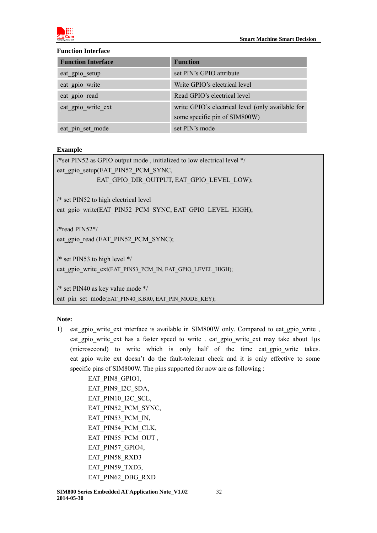

#### **Function Interface**

| <b>Function Interface</b> | <b>Function</b>                                                                    |
|---------------------------|------------------------------------------------------------------------------------|
| eat gpio setup            | set PIN's GPIO attribute                                                           |
| eat gpio write            | Write GPIO's electrical level                                                      |
| eat gpio read             | Read GPIO's electrical level                                                       |
| eat gpio write ext        | write GPIO's electrical level (only available for<br>some specific pin of SIM800W) |
| eat pin set mode          | set PIN's mode                                                                     |

# **Example**

| /*set PIN52 as GPIO output mode, initialized to low electrical level $*/$ |
|---------------------------------------------------------------------------|
| eat gpio setup(EAT_PIN52_PCM_SYNC,                                        |
| EAT GPIO DIR OUTPUT, EAT GPIO LEVEL LOW);                                 |
|                                                                           |
| $/*$ set PIN52 to high electrical level                                   |
| eat gpio write(EAT PIN52 PCM SYNC, EAT GPIO LEVEL HIGH);                  |
|                                                                           |
| /*read $PIN52*/$                                                          |
| eat gpio read (EAT PIN52 PCM SYNC);                                       |
|                                                                           |
| /* set PIN53 to high level $*/$                                           |
| eat_gpio_write_ext(EAT_PIN53_PCM_IN, EAT_GPIO_LEVEL_HIGH);                |
|                                                                           |

/\* set PIN40 as key value mode \*/ eat pin\_set\_mode(EAT\_PIN40\_KBR0, EAT\_PIN\_MODE\_KEY);

# **Note:**

1) eat gpio write ext interface is available in SIM800W only. Compared to eat gpio write , eat gpio write ext has a faster speed to write . eat gpio write ext may take about 1µs (microsecond) to write which is only half of the time eat\_gpio\_write takes. eat\_gpio\_write\_ext\_doesn't\_do\_the\_fault-tolerant\_check and it is only effective to some specific pins of SIM800W. The pins supported for now are as following :

> EAT\_PIN8\_GPIO1, EAT\_PIN9\_I2C\_SDA, EAT\_PIN10\_I2C\_SCL, EAT\_PIN52\_PCM\_SYNC, EAT\_PIN53\_PCM\_IN, EAT\_PIN54\_PCM\_CLK, EAT\_PIN55\_PCM\_OUT , EAT\_PIN57\_GPIO4, EAT\_PIN58\_RXD3 EAT\_PIN59\_TXD3, EAT\_PIN62\_DBG\_RXD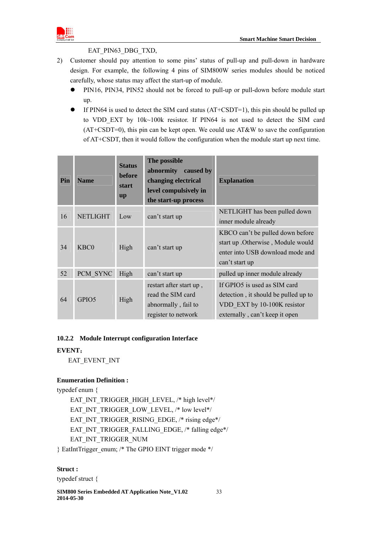

#### EAT\_PIN63\_DBG\_TXD,

- 2) Customer should pay attention to some pins' status of pull-up and pull-down in hardware design. For example, the following 4 pins of SIM800W series modules should be noticed carefully, whose status may affect the start-up of module.
	- PIN16, PIN34, PIN52 should not be forced to pull-up or pull-down before module start up.
	- $\bullet$  If PIN64 is used to detect the SIM card status (AT+CSDT=1), this pin should be pulled up to VDD EXT by 10k~100k resistor. If PIN64 is not used to detect the SIM card  $(AT+CSDT=0)$ , this pin can be kept open. We could use  $AT&W$  to save the configuration of AT+CSDT, then it would follow the configuration when the module start up next time.

| Pin | <b>Name</b>                   | <b>Status</b><br><b>before</b><br>start<br><b>up</b> | The possible<br>abnormity<br>caused by<br>changing electrical<br>level compulsively in<br>the start-up process | <b>Explanation</b>                                                                                                                    |
|-----|-------------------------------|------------------------------------------------------|----------------------------------------------------------------------------------------------------------------|---------------------------------------------------------------------------------------------------------------------------------------|
| 16  | <b>NETLIGHT</b>               | Low                                                  | can't start up                                                                                                 | NETLIGHT has been pulled down<br>inner module already                                                                                 |
| 34  | K <sub>B</sub> C <sub>0</sub> | High                                                 | can't start up                                                                                                 | KBCO can't be pulled down before<br>start up . Otherwise, Module would<br>enter into USB download mode and<br>can't start up          |
| 52  | PCM SYNC                      | High                                                 | can't start up                                                                                                 | pulled up inner module already                                                                                                        |
| 64  | GPIO <sub>5</sub>             | High                                                 | restart after start up,<br>read the SIM card<br>abnormally, fail to<br>register to network                     | If GPIO5 is used as SIM card<br>detection, it should be pulled up to<br>VDD EXT by 10-100K resistor<br>externally, can't keep it open |

#### <span id="page-32-0"></span>**10.2.2 Module Interrupt configuration Interface**

#### **EVENT**:

EAT\_EVENT\_INT

#### **Enumeration Definition :**

typedef enum {

 EAT\_INT\_TRIGGER\_HIGH\_LEVEL, /\* high level\*/ EAT\_INT\_TRIGGER\_LOW\_LEVEL, /\* low level\*/ EAT\_INT\_TRIGGER\_RISING\_EDGE, /\* rising edge\*/ EAT\_INT\_TRIGGER\_FALLING\_EDGE, /\* falling edge\*/ EAT\_INT\_TRIGGER\_NUM

} EatIntTrigger\_enum; /\* The GPIO EINT trigger mode \*/

#### **Struct :**

typedef struct {

**SIM800 Series Embedded AT Application Note\_V1.02** 33 **2014-05-30**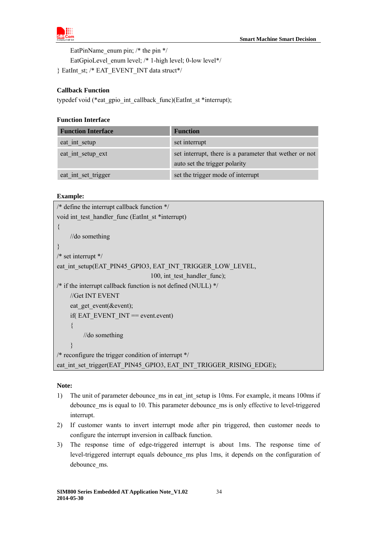

EatPinName enum pin;  $/*$  the pin  $*/$ 

EatGpioLevel enum level; /\* 1-high level; 0-low level\*/

} EatInt\_st; /\* EAT\_EVENT\_INT data struct\*/

# **Callback Function**

typedef void (\*eat\_gpio\_int\_callback\_func)(EatInt\_st \*interrupt);

#### **Function Interface**

| <b>Function Interface</b> | <b>Function</b>                                                                         |
|---------------------------|-----------------------------------------------------------------------------------------|
| eat_int_setup             | set interrupt                                                                           |
| eat int setup ext         | set interrupt, there is a parameter that wether or not<br>auto set the trigger polarity |
| eat int set trigger       | set the trigger mode of interrupt                                                       |

#### **Example:**

| /* define the interrupt callback function $*/$                     |
|--------------------------------------------------------------------|
| void int test handler func (EatInt st *interrupt)                  |
| $\left\{ \right.$                                                  |
| //do something                                                     |
|                                                                    |
| $/*$ set interrupt $*/$                                            |
| eat int setup(EAT PIN45 GPIO3, EAT INT TRIGGER LOW LEVEL,          |
| 100, int test handler func);                                       |
| /* if the interrupt callback function is not defined (NULL) $*/$   |
| //Get INT EVENT                                                    |
| eat get event(&event);                                             |
| if $EAT$ EVENT $INT = event.event$                                 |
| $\{$                                                               |
| $\frac{1}{\text{d}}$ something                                     |
|                                                                    |
| /* reconfigure the trigger condition of interrupt $*/$             |
| eat int set trigger(EAT PIN45 GPIO3, EAT INT TRIGGER RISING EDGE); |
|                                                                    |

#### **Note:**

- 1) The unit of parameter debounce ms in eat int setup is 10ms. For example, it means 100ms if debounce ms is equal to 10. This parameter debounce ms is only effective to level-triggered interrupt.
- 2) If customer wants to invert interrupt mode after pin triggered, then customer needs to configure the interrupt inversion in callback function.
- 3) The response time of edge-triggered interrupt is about 1ms. The response time of level-triggered interrupt equals debounce\_ms plus 1ms, it depends on the configuration of debounce\_ms.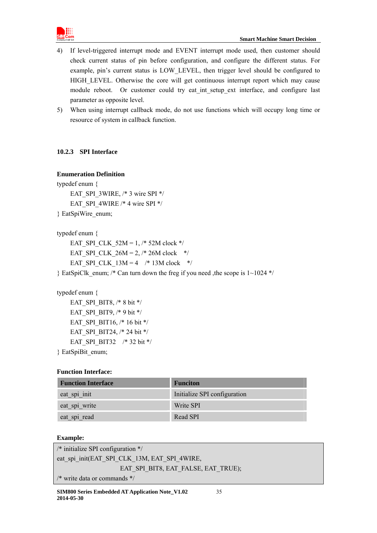

- 4) If level-triggered interrupt mode and EVENT interrupt mode used, then customer should check current status of pin before configuration, and configure the different status. For example, pin's current status is LOW\_LEVEL, then trigger level should be configured to HIGH\_LEVEL. Otherwise the core will get continuous interrupt report which may cause module reboot. Or customer could try eat int setup\_ext interface, and configure last parameter as opposite level.
- 5) When using interrupt callback mode, do not use functions which will occupy long time or resource of system in callback function.

# <span id="page-34-0"></span>**10.2.3 SPI Interface**

# **Enumeration Definition**

typedef enum { EAT\_SPI\_3WIRE, /\* 3 wire SPI \*/ EAT\_SPI\_4WIRE /\* 4 wire SPI \*/ } EatSpiWire\_enum;

typedef enum {

EAT SPI CLK  $52M = 1,$  /\* 52M clock \*/ EAT SPI CLK  $26M = 2$ , /\* 26M clock \*/ EAT SPI CLK  $13M = 4$  /\* 13M clock \*/

} EatSpiClk enum; /\* Can turn down the freg if you need ,the scope is  $1~1024$  \*/

```
typedef enum {
```
EAT\_SPI\_BIT8, /\* 8 bit \*/ EAT SPI BIT9,  $/*$  9 bit  $*/$ EAT SPI\_BIT16, /\* 16 bit \*/ EAT SPI BIT24,  $/* 24$  bit  $*/$ EAT\_SPI\_BIT32 /\* 32 bit \*/ } EatSpiBit\_enum;

# **Function Interface:**

| <b>Function Interface</b> | <b>Funciton</b>              |
|---------------------------|------------------------------|
| eat_spi_init              | Initialize SPI configuration |
| eat_spi_write             | Write SPI                    |
| eat spi read              | Read SPI                     |

# **Example:**

| $\frac{*}{*}$ initialize SPI configuration $\frac{*}{*}$ |  |
|----------------------------------------------------------|--|
| eat spi init(EAT SPI CLK 13M, EAT SPI 4WIRE,             |  |
| EAT SPI BIT8, EAT FALSE, EAT TRUE);                      |  |
| $\frac{*}{*}$ write data or commands $\frac{*}{*}$       |  |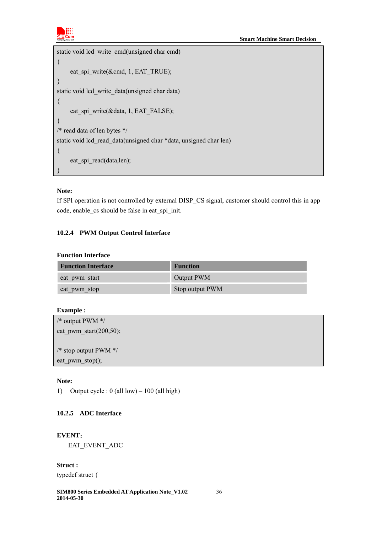

```
static void lcd_write_cmd(unsigned char cmd) 
{ 
     eat_spi_write(&cmd, 1, EAT_TRUE);
} 
static void lcd_write_data(unsigned char data) 
{ 
     eat_spi_write(&data, 1, EAT_FALSE);
} 
/* read data of len bytes */ 
static void lcd_read_data(unsigned char *data, unsigned char len) 
\{eat spi read(data,len);
}
```
# **Note:**

If SPI operation is not controlled by external DISP\_CS signal, customer should control this in app code, enable\_cs should be false in eat\_spi\_init.

# <span id="page-35-0"></span>**10.2.4 PWM Output Control Interface**

# **Function Interface**

| <b>Function Interface</b> | <b>Function</b> |
|---------------------------|-----------------|
| eat pwm start             | Output PWM      |
| eat pwm stop              | Stop output PWM |

#### **Example :**

| /* output PWM $*/$         |  |
|----------------------------|--|
| eat pwm start $(200,50)$ ; |  |
|                            |  |
| /* stop output PWM $*/$    |  |
| eat $pwm\_stop()$ ;        |  |
|                            |  |

#### **Note:**

1) Output cycle :  $0$  (all low) – 100 (all high)

# <span id="page-35-1"></span>**10.2.5 ADC Interface**

# **EVENT**:

EAT\_EVENT\_ADC

**Struct :**  typedef struct {

**SIM800 Series Embedded AT Application Note\_V1.02** 36 **2014-05-30**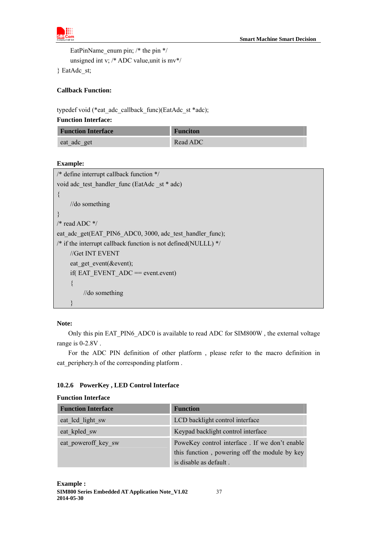

EatPinName enum pin;  $/*$  the pin  $*/$ unsigned int v; /\* ADC value,unit is mv\*/

} EatAdc\_st;

# **Callback Function:**

typedef void (\*eat\_adc\_callback\_func)(EatAdc\_st \*adc);

# **Function Interface:**

| <b>Function Interface</b> | <b>Funciton</b> |
|---------------------------|-----------------|
| eat_adc_get               | Read ADC        |

# **Example:**

| /* define interrupt callback function $*/$                        |
|-------------------------------------------------------------------|
| void adc test handler func (EatAdc st * adc)                      |
|                                                                   |
| //do something                                                    |
|                                                                   |
| /* read ADC $*/$                                                  |
| eat adc get(EAT PIN6 ADC0, 3000, adc test handler func);          |
| /* if the interrupt callback function is not defined (NULLL) $*/$ |
| //Get INT EVENT                                                   |
| eat get event(&event);                                            |
| if( $EAT$ EVENT ADC = event.event)                                |
| $\left\{ \right\}$                                                |
| //do something                                                    |
|                                                                   |

# **Note:**

Only this pin EAT\_PIN6\_ADC0 is available to read ADC for SIM800W , the external voltage range is 0-2.8V .

For the ADC PIN definition of other platform , please refer to the macro definition in eat\_periphery.h of the corresponding platform .

# <span id="page-36-0"></span>**10.2.6 PowerKey , LED Control Interface**

#### **Function Interface**

| <b>Function Interface</b> | <b>Function</b>                               |
|---------------------------|-----------------------------------------------|
| eat lcd light sw          | LCD backlight control interface               |
| eat kpled sw              | Keypad backlight control interface            |
| eat poweroff key sw       | PoweKey control interface. If we don't enable |
|                           | this function, powering off the module by key |
|                           | is disable as default.                        |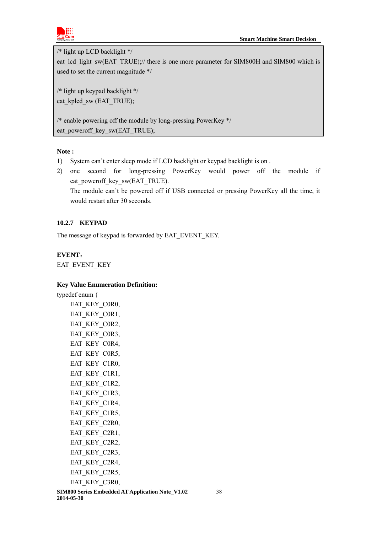

/\* light up LCD backlight \*/

eat lcd light sw(EAT\_TRUE);// there is one more parameter for SIM800H and SIM800 which is used to set the current magnitude \*/

/\* light up keypad backlight \*/ eat\_kpled\_sw (EAT\_TRUE);

/\* enable powering off the module by long-pressing PowerKey \*/ eat poweroff key sw(EAT\_TRUE);

# **Note :**

- 1) System can't enter sleep mode if LCD backlight or keypad backlight is on .
- 2) one second for long-pressing PowerKey would power off the module if eat poweroff key sw(EAT\_TRUE).

The module can't be powered off if USB connected or pressing PowerKey all the time, it would restart after 30 seconds.

# <span id="page-37-0"></span>**10.2.7 KEYPAD**

The message of keypad is forwarded by EAT\_EVENT\_KEY.

# **EVENT**:

EAT\_EVENT\_KEY

# **Key Value Enumeration Definition:**

typedef enum { EAT KEY C0R0, EAT\_KEY\_C0R1, EAT KEY C0R2, EAT KEY C0R3, EAT KEY C0R4, EAT\_KEY\_C0R5, EAT KEY C1R0, EAT KEY C1R1, EAT KEY C1R2, EAT\_KEY\_C1R3, EAT KEY C1R4, EAT\_KEY\_C1R5, EAT KEY C2R0, EAT\_KEY\_C2R1, EAT\_KEY\_C2R2, EAT KEY C2R3, EAT\_KEY\_C2R4, EAT KEY C2R5, EAT KEY C3R0,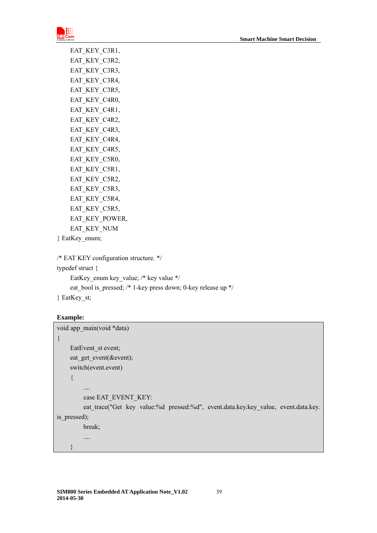

| EAT_KEY_C3R1,  |
|----------------|
| EAT_KEY_C3R2,  |
| EAT_KEY_C3R3,  |
| EAT_KEY_C3R4,  |
| EAT KEY C3R5,  |
| EAT_KEY_C4R0,  |
| EAT KEY_C4R1,  |
| EAT KEY C4R2,  |
| EAT_KEY_C4R3,  |
| EAT_KEY_C4R4,  |
| EAT_KEY_C4R5,  |
| EAT KEY C5R0,  |
| EAT KEY C5R1,  |
| EAT_KEY_C5R2,  |
| EAT_KEY_C5R3,  |
| EAT KEY C5R4,  |
| EAT_KEY_C5R5,  |
| EAT KEY POWER, |
| EAT KEY NUM    |
|                |

```
} EatKey_enum;
```

```
/* EAT KEY configuration structure. */
```
typedef struct { EatKey\_enum key\_value; /\* key value \*/

eat\_bool is\_pressed; /\* 1-key press down; 0-key release up \*/

} EatKey\_st;

#### **Example:**

}

```
void app_main(void *data) 
{ 
    EatEvent_st event;
    eat get event(&event);
    switch(event.event) 
     { 
         .... 
         case EAT_EVENT_KEY: 
         eat trace("Get key value:%d pressed:%d", event.data.key.key value, event.data.key.
is_pressed); 
         break; 
         ....
```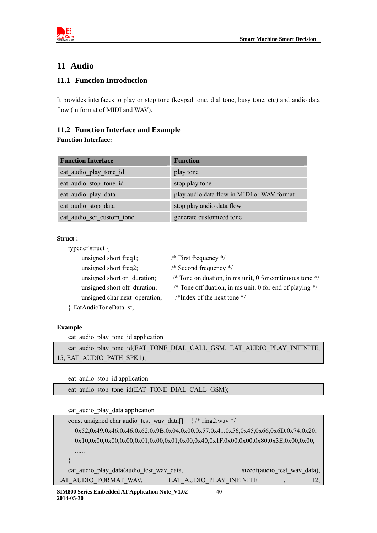

# <span id="page-39-0"></span>**11 Audio**

# **11.1 Function Introduction**

<span id="page-39-1"></span>It provides interfaces to play or stop tone (keypad tone, dial tone, busy tone, etc) and audio data flow (in format of MIDI and WAV).

# <span id="page-39-2"></span>**11.2 Function Interface and Example**

# **Function Interface:**

| <b>Function Interface</b> | <b>Function</b>                            |
|---------------------------|--------------------------------------------|
| eat audio play tone id    | play tone                                  |
| eat audio stop tone id    | stop play tone                             |
| eat audio play data       | play audio data flow in MIDI or WAV format |
| eat audio stop data       | stop play audio data flow                  |
| eat audio set custom tone | generate customized tone                   |

#### **Struct :**

| typedef struct $\{$           |                                                            |
|-------------------------------|------------------------------------------------------------|
| unsigned short freq1;         | /* First frequency $*/$                                    |
| unsigned short freq2;         | /* Second frequency $*/$                                   |
| unsigned short on duration;   | /* Tone on duation, in ms unit, 0 for continuous tone $*/$ |
| unsigned short off duration;  | /* Tone off duation, in ms unit, 0 for end of playing $*/$ |
| unsigned char next operation; | /*Index of the next tone $\frac{*}{ }$                     |
| } EatAudioToneData st;        |                                                            |

# **Example**

eat audio play tone id application

eat\_audio\_play\_tone\_id(EAT\_TONE\_DIAL\_CALL\_GSM, EAT\_AUDIO\_PLAY\_INFINITE, 15, EAT\_AUDIO\_PATH\_SPK1);

eat\_audio\_stop\_id application

eat audio stop\_tone\_id(EAT\_TONE\_DIAL\_CALL\_GSM);

eat\_audio\_play\_data application

| const unsigned charaudio test way data $\lceil = \frac{1}{8} \times \frac{1}{2}$ ring2.way */ |                         |    |                                |     |
|-----------------------------------------------------------------------------------------------|-------------------------|----|--------------------------------|-----|
| 0x52,0x49,0x46,0x46,0x62,0x9B,0x04,0x00,0x57,0x41,0x56,0x45,0x66,0x6D,0x74,0x20,              |                         |    |                                |     |
| $0x10,0x00,0x00,0x00,0x01,0x00,0x01,0x00,0x40,0x1F,0x00,0x00,0x80,0x3E,0x00,0x00,$            |                         |    |                                |     |
|                                                                                               |                         |    |                                |     |
|                                                                                               |                         |    |                                |     |
| eat audio play data(audio test way data,                                                      |                         |    | size of (audio test way data), |     |
| EAT AUDIO FORMAT WAV,                                                                         | EAT AUDIO PLAY INFINITE |    |                                | 12. |
| SIM800 Series Embedded AT Application Note V102                                               |                         | 40 |                                |     |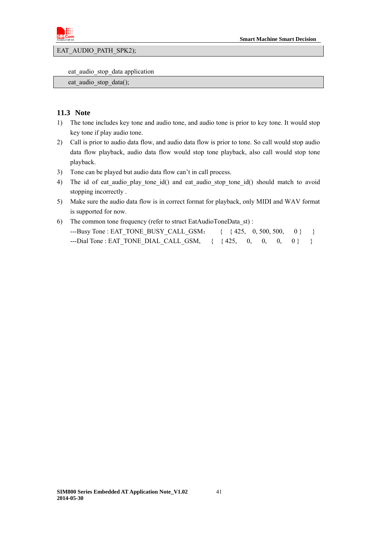

EAT\_AUDIO\_PATH\_SPK2);

eat\_audio\_stop\_data application

eat audio stop data();

#### <span id="page-40-0"></span>**11.3 Note**

- 1) The tone includes key tone and audio tone, and audio tone is prior to key tone. It would stop key tone if play audio tone.
- 2) Call is prior to audio data flow, and audio data flow is prior to tone. So call would stop audio data flow playback, audio data flow would stop tone playback, also call would stop tone playback.
- 3) Tone can be played but audio data flow can't in call process.
- 4) The id of eat audio\_play\_tone\_id() and eat audio\_stop\_tone\_id() should match to avoid stopping incorrectly .
- 5) Make sure the audio data flow is in correct format for playback, only MIDI and WAV format is supported for now.
- 6) The common tone frequency (refer to struct EatAudioToneData\_st) : ---Busy Tone : EAT\_TONE\_BUSY\_CALL\_GSM: { { 425, 0, 500, 500, 0} }  $--Dial$  Tone : EAT TONE DIAL CALL GSM, {  ${425, 0, 0, 0, 0}$  } }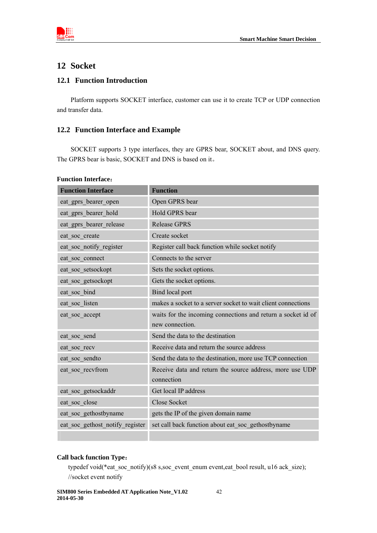

# <span id="page-41-0"></span>**12 Socket**

# <span id="page-41-1"></span>**12.1 Function Introduction**

Platform supports SOCKET interface, customer can use it to create TCP or UDP connection and transfer data.

# <span id="page-41-2"></span>**12.2 Function Interface and Example**

SOCKET supports 3 type interfaces, they are GPRS bear, SOCKET about, and DNS query. The GPRS bear is basic, SOCKET and DNS is based on it。

| <b>Function Interface</b>       | <b>Function</b>                                                                 |
|---------------------------------|---------------------------------------------------------------------------------|
| eat gprs bearer open            | Open GPRS bear                                                                  |
| eat_gprs_bearer_hold            | Hold GPRS bear                                                                  |
| eat gprs bearer release         | <b>Release GPRS</b>                                                             |
| eat soc create                  | Create socket                                                                   |
| eat soc notify register         | Register call back function while socket notify                                 |
| eat soc connect                 | Connects to the server                                                          |
| eat soc setsockopt              | Sets the socket options.                                                        |
| eat soc getsockopt              | Gets the socket options.                                                        |
| eat soc bind                    | Bind local port                                                                 |
| eat soc listen                  | makes a socket to a server socket to wait client connections                    |
| eat soc accept                  | waits for the incoming connections and return a socket id of<br>new connection. |
| eat soc send                    | Send the data to the destination                                                |
| eat soc recv                    | Receive data and return the source address                                      |
| eat soc sendto                  | Send the data to the destination, more use TCP connection                       |
| eat soc recvfrom                | Receive data and return the source address, more use UDP<br>connection          |
| eat_soc_getsockaddr             | Get local IP address                                                            |
| eat soc close                   | <b>Close Socket</b>                                                             |
| eat soc gethostbyname           | gets the IP of the given domain name                                            |
| eat soc gethost notify register | set call back function about eat soc gethostbyname                              |
|                                 |                                                                                 |

#### **Function Interface**:

#### **Call back function Type**:

typedef void(\*eat\_soc\_notify)(s8 s,soc\_event\_enum event,eat\_bool result, u16 ack\_size); //socket event notify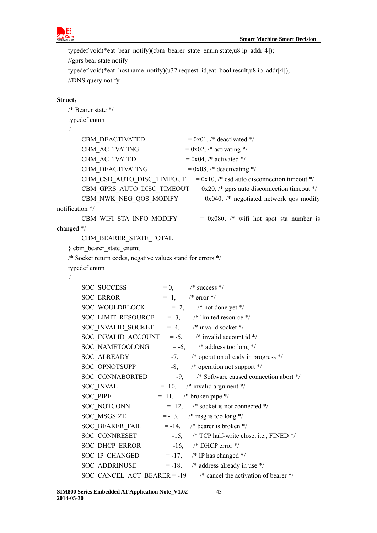

```
typedef void(*eat_bear_notify)(cbm_bearer_state_enum state,u8 ip_addr[4]);
//gprs bear state notify 
typedef void(*eat_hostname_notify)(u32 request_id,eat_bool result,u8 ip_addr[4]);
//DNS query notify
```
#### **Struct**:

```
/* Bearer state */ 
    typedef enum 
    { 
          CBM DEACTIVATED = 0x01, /* deactivated */
          CBM_ACTIVATING = 0x02, /* activating */
          CBM_ACTIVATED = 0x04, /* activated */
          CBM DEACTIVATING = 0x08, /* deactivating */
          CBM_CSD_AUTO_DISC_TIMEOUT = 0x10, /* csd auto disconnection timeout */
          CBM_GPRS_AUTO_DISC_TIMEOUT = 0x20, /* gprs auto disconnection timeout */
          CBM_NWK_NEG_QOS_MODIFY = 0x040, /* negotiated network qos modify
notification */ 
          CBM WIFI_STA_INFO_MODIFY = 0x080, /* wifi hot spot sta number is
changed */ 
           CBM_BEARER_STATE_TOTAL 
    } cbm_bearer_state_enum; 
    /* Socket return codes, negative values stand for errors */ 
    typedef enum 
    { 
          SOC SUCCESS = 0, /* success */
          SOC_ERROR = -1, /* error */
          SOC_WOULDBLOCK = -2, \frac{\pi}{100} /* not done yet */
          SOC_LIMIT_RESOURCE = -3, \frac{\text{#}}{\text{mited resource}} */
          SOC_INVALID_SOCKET = -4, \frac{\text{#} \times \text{4}}{\text{#}} /* invalid socket */
          SOC_INVALID_ACCOUNT = -5, \frac{\pi}{2} /* invalid account id */
          SOC_NAMETOOLONG = -6, \frac{\text{#} \times \text{ }}{\text{#} \times \text{ } \times \text{ } \times \text{ } \times \text{ } \times \text{ } \times \text{ } \times \text{ } \times \text{ } \times \text{ } \times \text{ } \times \text{ } \times \text{ } \times \text{ } \times \text{ } \times \text{ } \times \text{ } \times \text{ } \times \text{ } \times \text{ } \times \text{ } \times \text{ } \times \text{ } \times \text{ } \times \text{ } \times \text{ } \times \text{ } \times \text{ } \times \text{ } \times \text{ } \times \text{SOC ALREADY = -7, /* operation already in progress */
          SOC_OPNOTSUPP = -8, \frac{\text{#}}{\text{}} operation not support \frac{\text{#}}{\text{}}SOC_CONNABORTED = -9, \frac{\text{# Software caused connection abort *}}{\text{# } }SOC_INVAL = -10, \frac{\text{#} \times \text{``i}}{\text{``i}} invalid argument */
          SOC PIPE = -11, /* broken pipe */
          SOC_NOTCONN = -12, /* socket is not connected */
          SOC_MSGSIZE = -13, \frac{\text{# msg}}{\text{# msg}} is too long */
          SOC_BEARER_FAIL = -14, \frac{\text{#} \times \text{#}}{\text{#} \times \text{#}} bearer is broken */
          SOC_{\text{2}}CONNRESET = -15, /* TCP half-write close, i.e., FINED */
          SOC_DHCP_ERROR = -16, /* DHCP error */
          SOC_IP_CHANGED = -17, \frac{\text{# IP}}{\text{has changed *}}SOC_ADDRINUSE = -18, /* address already in use */
          SOC_CANCEL_ACT_BEARER = -19 /* cancel the activation of bearer */
```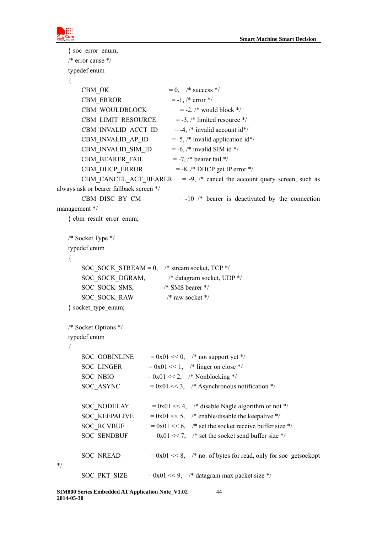

```
} soc_error_enum; 
   /* error cause */ 
   typedef enum 
   { 
       CBM_OK = 0, /* success */
       CBM_ERROR = -1, /* error */
       CBM_WOULDBLOCK = -2, /* would block */
       CBM_LIMIT_RESOURCE = -3, /* limited resource */
       CBM_INVALID_ACCT_ID = -4, /* invalid account id*/
       CBM_INVALID_AP_ID = -5, /* invalid application id*/
       CBM_INVALID_SIM_ID = -6, /* invalid SIM id */
       CBM_BEARER_FAIL = -7, /* bearer fail */
       CBM_DHCP_ERROR = -8, /* DHCP get IP error */
       CBM_CANCEL_ACT_BEARER = -9, /* cancel the account query screen, such as
always ask or bearer fallback screen */ 
       CBM DISC BY CM = -10 /* bearer is deactivated by the connection
management */ 
   } cbm_result_error_enum; 
   /* Socket Type */ 
   typedef enum 
   { 
       SOC_SOCK_STREAM = 0, /* stream socket, TCP */
       SOC_SOCK_DGRAM, \frac{\text{#}\xi}{\text{#}} datagram socket, UDP */
       SOC_SOCK_SMS, \frac{\text{N}}{\text{N}} SMS bearer */
       SOC_SOCK_RAW /* raw socket */
   } socket_type_enum; 
   /* Socket Options */ 
   typedef enum 
   { 
       SOC_OOBINLINE = 0x01 \ll 0, /* not support yet */
       SOC_LINGER = 0x01 \ll 1, /* linger on close */
       SOC_NBIO = 0x01 \ll 2, /* Nonblocking */
       SOC_ASYNC = 0x01 \ll 3, /* Asynchronous notification */
       SOC_NODELAY = 0x01 \ll 4, /* disable Nagle algorithm or not */
       SOC_KEEPALIVE = 0x01 \ll 5, /* enable/disable the keepalive */
       SOC_RCVBUF = 0x01 \ll 6, /* set the socket receive buffer size */
       SOC_SENDBUF = 0x01 \ll 7, /* set the socket send buffer size */
       SOC_NREAD = 0x01 \ll 8, /* no. of bytes for read, only for soc_getsockopt
*/ 
       SOC_PKT_SIZE = 0x01 \ll 9, /* datagram max packet size */
```

```
SIM800 Series Embedded AT Application Note_V1.02 44 
2014-05-30
```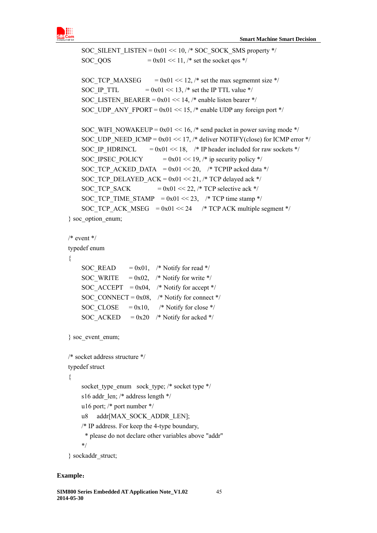

```
SOC_SILENT_LISTEN = 0x01 \ll 10, /* SOC_SOCK_SMS property */
    SOC_QOS = 0x01 \ll 11, /* set the socket qos */
    SOC TCP MAXSEG = 0x01 \ll 12, /* set the max segmemnt size */
    SOC_IP_TTL = 0x01 \ll 13, /* set the IP TTL value */
    SOC_LISTEN_BEARER = 0x01 \ll 14, /* enable listen bearer */
    SOC_UDP_ANY_FPORT = 0x01 \ll 15, /* enable UDP any foreign port */
    SOC_WIFI_NOWAKEUP = 0x01 \ll 16, /* send packet in power saving mode */
    SOC_UDP_NEED_ICMP = 0x01 \ll 17, /* deliver NOTIFY(close) for ICMP error */
    SOC_IP_HDRINCL = 0x01 \ll 18, /* IP header included for raw sockets */
    SOC_IPSEC_POLICY = 0x01 \ll 19, /* ip security policy */
    SOC_TCP_ACKED_DATA = 0x01 \ll 20, /* TCPIP acked data */
    SOC_TCP_DELAYED_ACK = 0x01 \ll 21, /* TCP delayed ack */
    SOC_TCP_SACK = 0x01 \ll 22, /* TCP selective ack */
    SOC TCP TIME STAMP = 0x01 \ll 23, /* TCP time stamp */
    SOC_TCP_ACK_MSEG = 0x01 \ll 24 /* TCP ACK multiple segment */
} soc_option_enum; 
/* event */typedef enum 
{ 
    SOC_READ = 0x01, /* Notify for read */
    SOC_WRITE = 0x02, /* Notify for write */
    SOC_ACCEPT = 0x04, /* Notify for accept */
    SOC_CONNECT = 0x08, /* Notify for connect */
    SOC_CLOSE = 0x10, /* Notify for close */
    SOC_ACKED = 0x20 /* Notify for acked */
} soc_event_enum; 
/* socket address structure */ 
typedef struct 
{ 
    socket type enum sock type; /* socket type */
    s16 addr_len; /* address length */
     u16 port; /* port number */ 
    u8 addr[MAX_SOCK_ADDR_LEN];
     /* IP address. For keep the 4-type boundary, 
      * please do not declare other variables above "addr" 
     */ 
} sockaddr_struct;
```
#### **Example**:

```
SIM800 Series Embedded AT Application Note_V1.02 45 
2014-05-30
```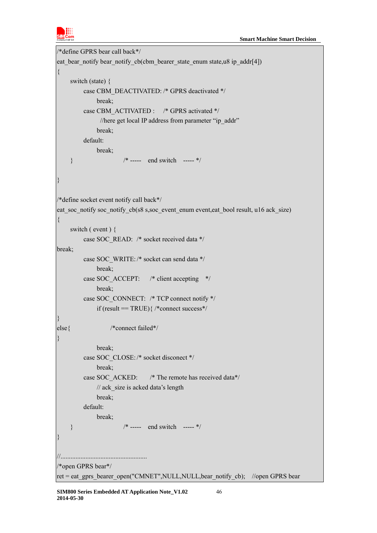

```
/*define GPRS bear call back*/ 
eat bear notify bear notify cb(cbm bearer state enum state,u8 ip addr[4])
{ 
     switch (state) { 
         case CBM_DEACTIVATED: /* GPRS deactivated */
               break; 
         case CBM_ACTIVATED : /* GPRS activated */
               //here get local IP address from parameter "ip_addr"
               break; 
          default: 
               break; 
    * ----- end switch ----- */
} 
/*define socket event notify call back*/ 
eat soc_notify soc_notify_cb(s8 s,soc_event_enum event,eat_bool result, u16 ack_size)
{ 
     switch ( event ) { 
          case SOC_READ: /* socket received data */ 
break; 
          case SOC_WRITE: /* socket can send data */ 
               break; 
         case SOC_ACCEPT: /* client accepting */
               break; 
          case SOC_CONNECT: /* TCP connect notify */ 
              if (result == TRUE)\frac{1}{2} /*connect success*/
} 
else{ /*connect failed*/ 
} 
               break; 
          case SOC_CLOSE: /* socket disconect */ 
               break; 
          case SOC_ACKED: /* The remote has received data*/ 
              // ack_size is acked data's length
               break; 
          default: 
               break; 
     } /* ----- end switch ----- */ 
} 
//.................................................... 
/*open GPRS bear*/ 
ret = eat_gprs_bearer_open("CMNET",NULL,NULL,bear_notify_cb); //open GPRS bear
```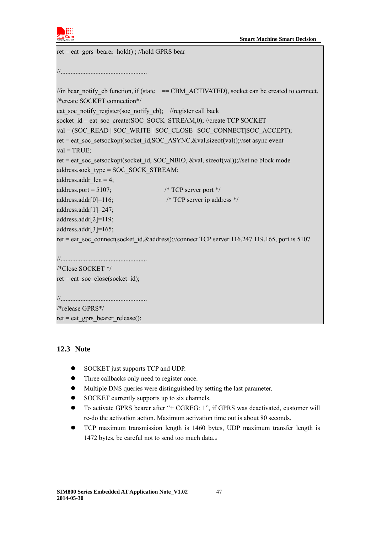

```
ret = eat_gprs_bearer_hold() ; //hold GPRS bear
//.................................................... 
//in bear notify cb function, if (state = CBM ACTIVATED), socket can be created to connect.
/*create SOCKET connection*/ 
eat soc_notify_register(soc_notify_cb); //register call back
socket id = eat soc_create(SOC_SOCK_STREAM,0); //create TCP SOCKET
val = (SOC_READ | SOC_WRITE | SOC_CLOSE | SOC_CONNECT|SOC_ACCEPT);
ret = eat_soc_setsockopt(socket_id,SOC_ASYNC,&val,sizeof(val));//set async event
val = TRUE;
ret = eat_soc_setsockopt(socket_id, SOC_NBIO, &val, sizeof(val));//set no block mode
address.sock_type = SOC_SOCK_STREAM; 
address.addr len = 4;
address.port = 5107; \frac{\text{%} \times \text{C}}{\text{% \times \text{C}}} /* TCP server port */
address.addr[0]=116; \frac{\text{?}}{\text{?}} /* TCP server ip address */
address.addr[1]=247; 
address.addr[2]=119; 
address.addr[3]=165; 
ret = eat_soc_connect(socket_id,&address);//connect TCP server 116.247.119.165, port is 5107
//.................................................... 
/*Close SOCKET */ 
ret = eat_soc_close(socket_id);
//.................................................... 
/*release GPRS*/ 
ret = eat_gprs_bearer_release();
```
# <span id="page-46-0"></span>**12.3 Note**

- SOCKET just supports TCP and UDP.
- Three callbacks only need to register once.
- Multiple DNS queries were distinguished by setting the last parameter.
- SOCKET currently supports up to six channels.
- To activate GPRS bearer after "+ CGREG: 1", if GPRS was deactivated, customer will re-do the activation action. Maximum activation time out is about 80 seconds.
- TCP maximum transmission length is 1460 bytes, UDP maximum transfer length is 1472 bytes, be careful not to send too much data.。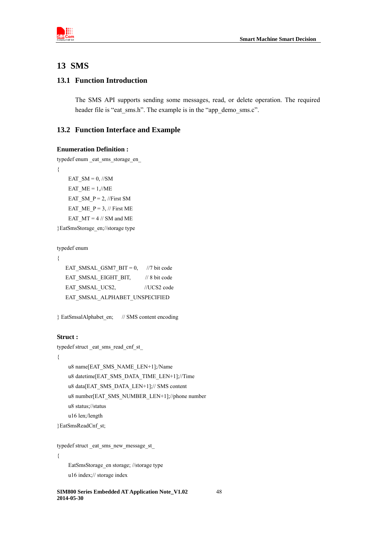

# <span id="page-47-0"></span>**13 SMS**

# <span id="page-47-1"></span>**13.1 Function Introduction**

The SMS API supports sending some messages, read, or delete operation. The required header file is "eat\_sms.h". The example is in the "app\_demo\_sms.c".

# <span id="page-47-2"></span>**13.2 Function Interface and Example**

```
Enumeration Definition :
```

```
typedef enum _eat_sms_storage_en_ 
{ 
    EAT SM = 0, //SM
    EAT ME = 1/\sqrt{ME}EAT_SM_P = 2, //First SM
    EAT ME P = 3, // First ME
    EAT MT = 4 // SM and ME
}EatSmsStorage_en;//storage type
```

```
typedef enum
```

```
{
```

```
EAT_SMSAL_GSM7_BIT = 0, //7 bit code
EAT_SMSAL_EIGHT_BIT, // 8 bit code
EAT_SMSAL_UCS2, //UCS2 code
 EAT_SMSAL_ALPHABET_UNSPECIFIED
```

```
} EatSmsalAlphabet_en; // SMS content encoding
```
#### **Struct :**

```
typedef struct _eat_sms_read_cnf_st_ 
{ 
    u8 name[EAT_SMS_NAME_LEN+1];/Name
     u8 datetime[EAT_SMS_DATA_TIME_LEN+1];//Time 
    u8 data[EAT_SMS_DATA_LEN+1];// SMS content
     u8 number[EAT_SMS_NUMBER_LEN+1];//phone number 
     u8 status;//status 
     u16 len;/length
```

```
}EatSmsReadCnf_st;
```

```
typedef struct _eat_sms_new_message_st_ 
{ 
     EatSmsStorage_en storage; //storage type
```

```
 u16 index;// storage index
```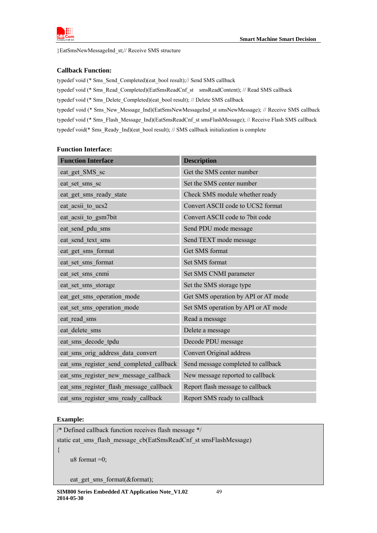

}EatSmsNewMessageInd\_st;// Receive SMS structure

#### **Callback Function:**

typedef void (\* Sms\_Send\_Completed)(eat\_bool result);// Send SMS callback typedef void (\* Sms\_Read\_Completed)(EatSmsReadCnf\_st \_smsReadContent); // Read SMS callback typedef void (\* Sms\_Delete\_Completed)(eat\_bool result); // Delete SMS callback typedef void (\* Sms\_New\_Message\_Ind)(EatSmsNewMessageInd\_st smsNewMessage); // Receive SMS callback typedef void (\* Sms\_Flash\_Message\_Ind)(EatSmsReadCnf\_st smsFlashMessage); // Receive Flash SMS callback typedef void(\* Sms\_Ready\_Ind)(eat\_bool result); // SMS callback initialization is complete

| <b>Function Interface</b>                | <b>Description</b>                  |
|------------------------------------------|-------------------------------------|
| eat get SMS sc                           | Get the SMS center number           |
| eat set sms sc                           | Set the SMS center number           |
| eat get sms ready state                  | Check SMS module whether ready      |
| eat acsii to ucs2                        | Convert ASCII code to UCS2 format   |
| eat acsii to gsm7bit                     | Convert ASCII code to 7bit code     |
| eat send pdu sms                         | Send PDU mode message               |
| eat send text sms                        | Send TEXT mode message              |
| eat_get_sms_format                       | Get SMS format                      |
| eat_set_sms_format                       | Set SMS format                      |
| eat set sms cnmi                         | Set SMS CNMI parameter              |
| eat set sms storage                      | Set the SMS storage type            |
| eat get sms operation mode               | Get SMS operation by API or AT mode |
| eat set sms operation mode               | Set SMS operation by API or AT mode |
| eat read sms                             | Read a message                      |
| eat delete sms                           | Delete a message                    |
| eat sms decode tpdu                      | Decode PDU message                  |
| eat sms orig address data convert        | Convert Original address            |
| eat sms register send completed callback | Send message completed to callback  |
| eat sms register new message callback    | New message reported to callback    |
| eat sms register flash message callback  | Report flash message to callback    |
| eat sms register sms ready callback      | Report SMS ready to callback        |

#### **Function Interface:**

#### **Example:**

/\* Defined callback function receives flash message \*/

static eat\_sms\_flash\_message\_cb(EatSmsReadCnf\_st smsFlashMessage)

{

u8 format  $=0$ ;

eat\_get\_sms\_format(&format);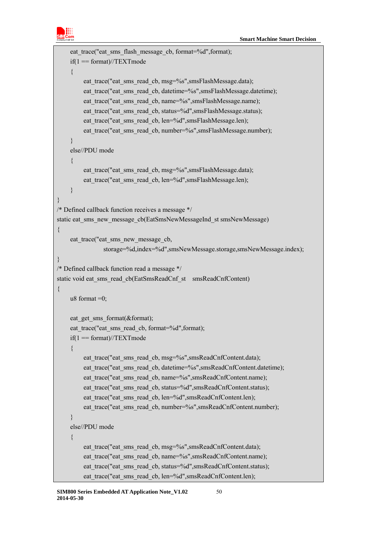

```
eat trace("eat sms flash_message_cb, format=%d",format);
    if(1 == format)/\sqrt{TEXTmode} { 
         eat trace("eat sms read cb, msg=%s",smsFlashMessage.data);
         eat trace("eat sms read cb, datetime=%s",smsFlashMessage.datetime);
         eat trace("eat sms read cb, name=%s",smsFlashMessage.name);
         eat trace("eat sms read cb, status=%d",smsFlashMessage.status);
         eat_trace("eat_sms_read_cb, len=%d",smsFlashMessage.len);
         eat_trace("eat_sms_read_cb, number=%s",smsFlashMessage.number);
     } 
     else//PDU mode 
     { 
         eat trace("eat sms read cb, msg=%s",smsFlashMessage.data);
         eat trace("eat sms read cb, len=%d",smsFlashMessage.len);
     } 
} 
/* Defined callback function receives a message */ 
static eat_sms_new_message_cb(EatSmsNewMessageInd_st smsNewMessage)
{ 
    eat trace("eat sms new message cb,
                storage=%d,index=%d",smsNewMessage.storage,smsNewMessage.index); 
} 
/* Defined callback function read a message */ 
static void eat_sms_read_cb(EatSmsReadCnf_st _smsReadCnfContent)
{ 
    u8 format =0;
    eat get sms format(&format);
    eat trace("eat sms read cb, format=%d",format);
    if(1 == format)/\sqrt{TEXTmode}\{eat trace("eat sms read cb, msg=%s",smsReadCnfContent.data);
         eat trace("eat sms read cb, datetime=%s",smsReadCnfContent.datetime);
         eat trace("eat sms read cb, name=%s",smsReadCnfContent.name);
         eat trace("eat sms read cb, status=%d",smsReadCnfContent.status);
         eat trace("eat sms read cb, len=%d",smsReadCnfContent.len);
         eat trace("eat sms read cb, number=%s",smsReadCnfContent.number);
     } 
     else//PDU mode 
     { 
         eat trace("eat sms read cb, msg=%s",smsReadCnfContent.data);
         eat trace("eat sms read cb, name=%s", smsReadCnfContent.name);
         eat trace("eat sms read cb, status=%d",smsReadCnfContent.status);
         eat trace("eat sms read cb, len=%d",smsReadCnfContent.len);
```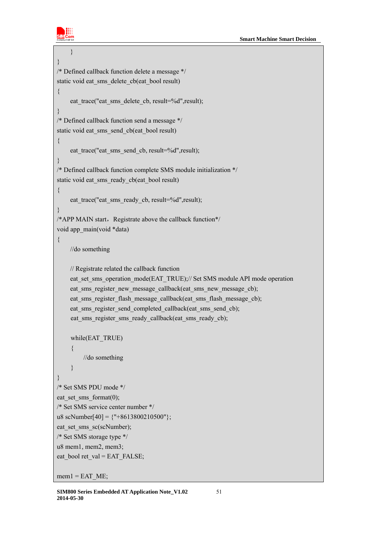

```
 } 
} 
/* Defined callback function delete a message */ 
static void eat_sms_delete_cb(eat_bool result)
{ 
    eat trace("eat sms_delete_cb, result=%d",result);
} 
/* Defined callback function send a message */ 
static void eat_sms_send_cb(eat_bool result)
{ 
    eat trace("eat sms_send_cb, result=%d",result);
} 
/* Defined callback function complete SMS module initialization */ 
static void eat_sms_ready_cb(eat_bool result)
{ 
    eat trace("eat sms ready cb, result=%d",result);
} 
/*APP MAIN start, Registrate above the callback function*/
void app_main(void *data)
{ 
     //do something 
     // Registrate related the callback function 
    eat set sms_operation_mode(EAT_TRUE);// Set SMS module API mode operation
    eat sms register new message callback(eat sms new message cb);
    eat sms register flash message callback(eat sms flash message cb);
    eat sms register send completed callback(eat sms send cb);
    eat sms_register_sms_ready_callback(eat_sms_ready_cb);
    while(EAT_TRUE) 
     { 
          //do something 
     } 
} 
/* Set SMS PDU mode */ 
eat set sms format(0);
/* Set SMS service center number */ 
u8 scNumber[40] = {''+8613800210500"};
eat_set_sms_sc(scNumber);
/* Set SMS storage type */ 
u8 mem1, mem2, mem3; 
eat bool ret val = EAT_FALSE;
```
 $m$ em1 = EAT ME;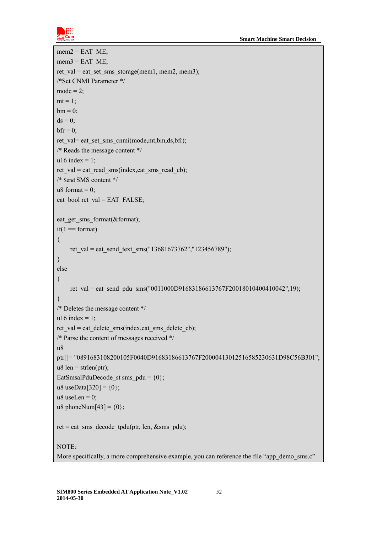

```
mem2 = EAT ME;
mem3 = EAT ME;
ret_val = eat_set_sms_storage(mem1, mem2, mem3);
/*Set CNMI Parameter */ 
mode = 2;
mt = 1;
bm = 0:
ds = 0;
bf = 0;ret_val= eat_set_sms_cnmi(mode,mt,bm,ds,bfr); 
/* Reads the message content */ 
u16 index = 1:
ret val = eat read_sms(index,eat_sms_read_cb);
/* Send SMS content */ 
u8 format = 0;
eat bool ret val = EAT_FALSE;
eat get sms format(&format);
if(1 == format){ 
    ret_val = eat_send_text_sms("13681673762","123456789");
} 
else 
{ 
    ret val = eat send pdu sms("0011000D91683186613767F20018010400410042",19);
} 
/* Deletes the message content */ 
u16 index = 1;
ret val = eat delete sms(index,eat sms_delete cb);
/* Parse the content of messages received */ 
u8 
ptr[]="0891683108200105F0040D91683186613767F20000413012516585230631D98C56B301";
u8 len = strlen(ptr);
EatSmsalPduDecode st sms pdu = {0};u8 useData[320] = \{0\};
u8 useLen = 0;
u8 phoneNum[43] = \{0\};
ret = eat_sms_decode_tpdu(ptr, len, &sms_pdu);
NOTE:
More specifically, a more comprehensive example, you can reference the file "app_demo_sms.c"
```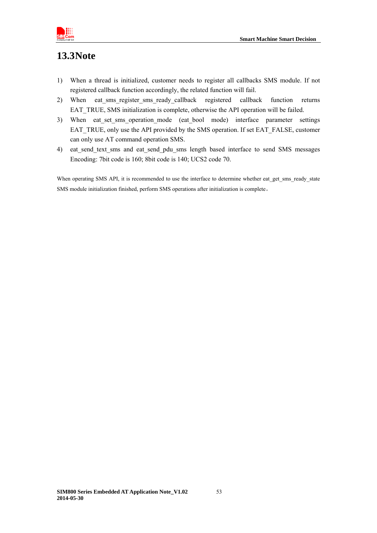

# <span id="page-52-0"></span>**13.3Note**

- 1) When a thread is initialized, customer needs to register all callbacks SMS module. If not registered callback function accordingly, the related function will fail.
- 2) When eat\_sms\_register\_sms\_ready\_callback registered callback function returns EAT\_TRUE, SMS initialization is complete, otherwise the API operation will be failed.
- 3) When eat\_set\_sms\_operation\_mode (eat\_bool mode) interface parameter settings EAT\_TRUE, only use the API provided by the SMS operation. If set EAT\_FALSE, customer can only use AT command operation SMS.
- 4) eat send text sms and eat send pdu sms length based interface to send SMS messages Encoding: 7bit code is 160; 8bit code is 140; UCS2 code 70.

When operating SMS API, it is recommended to use the interface to determine whether eat get sms\_ready\_state SMS module initialization finished, perform SMS operations after initialization is complete。